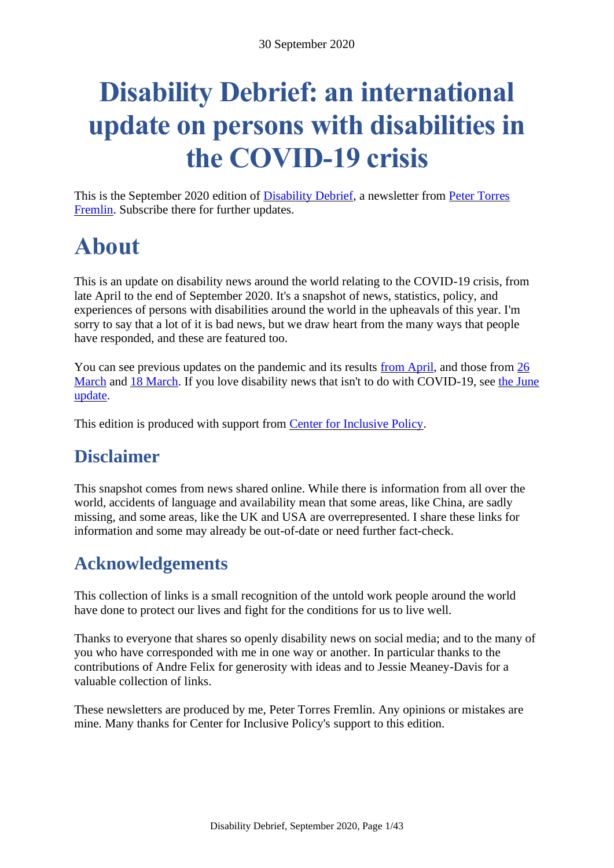# **Disability Debrief: an international update on persons with disabilities in the COVID-19 crisis**

This is the September 2020 edition of [Disability Debrief,](https://disabilitydebrief.substack.com/) a newsletter from [Peter Torres](http://peter.desibility.org/)  [Fremlin.](http://peter.desibility.org/) Subscribe there for further updates.

# <span id="page-0-0"></span>**About**

This is an update on disability news around the world relating to the COVID-19 crisis, from late April to the end of September 2020. It's a snapshot of news, statistics, policy, and experiences of persons with disabilities around the world in the upheavals of this year. I'm sorry to say that a lot of it is bad news, but we draw heart from the many ways that people have responded, and these are featured too.

You can see previous updates on the pandemic and its results [from April,](https://disabilitydebrief.substack.com/p/where-we-are-now-disability-in-the) and those from [26](https://disabilitydebrief.substack.com/p/overview-and-update-on-coronavirus)  [March](https://disabilitydebrief.substack.com/p/overview-and-update-on-coronavirus) and [18 March.](https://disabilitydebrief.substack.com/p/disability-debrief-news-on-coronavirus) If you love disability news that isn't to do with COVID-19, see the June [update.](https://disabilitydebrief.substack.com/p/disability-debrief-disinfected-the)

This edition is produced with support from [Center for Inclusive Policy.](https://inclusive-policy.org/)

# <span id="page-0-1"></span>**Disclaimer**

This snapshot comes from news shared online. While there is information from all over the world, accidents of language and availability mean that some areas, like China, are sadly missing, and some areas, like the UK and USA are overrepresented. I share these links for information and some may already be out-of-date or need further fact-check.

# <span id="page-0-2"></span>**Acknowledgements**

This collection of links is a small recognition of the untold work people around the world have done to protect our lives and fight for the conditions for us to live well.

Thanks to everyone that shares so openly disability news on social media; and to the many of you who have corresponded with me in one way or another. In particular thanks to the contributions of Andre Felix for generosity with ideas and to Jessie Meaney-Davis for a valuable collection of links.

These newsletters are produced by me, Peter Torres Fremlin. Any opinions or mistakes are mine. Many thanks for Center for Inclusive Policy's support to this edition.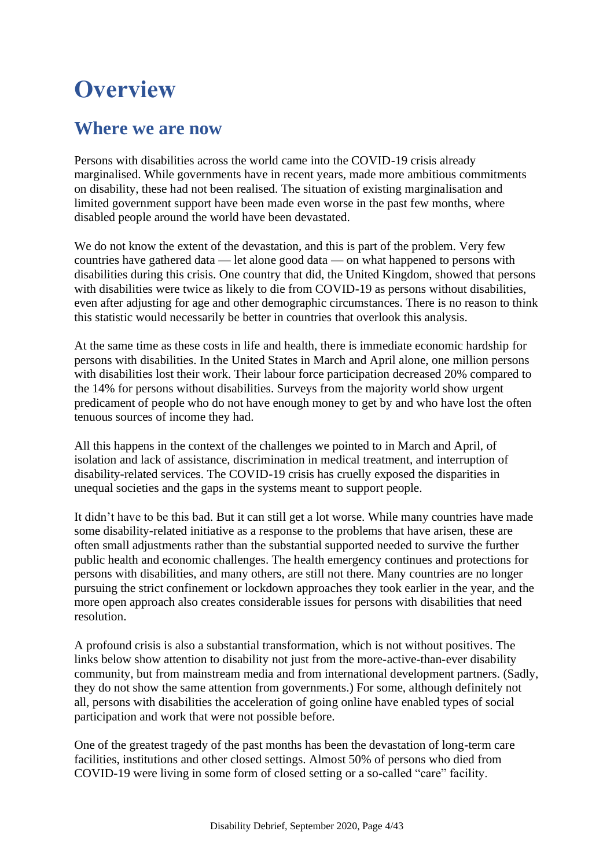# <span id="page-3-0"></span>**Overview**

### <span id="page-3-1"></span>**Where we are now**

Persons with disabilities across the world came into the COVID-19 crisis already marginalised. While governments have in recent years, made more ambitious commitments on disability, these had not been realised. The situation of existing marginalisation and limited government support have been made even worse in the past few months, where disabled people around the world have been devastated.

We do not know the extent of the devastation, and this is part of the problem. Very few countries have gathered data — let alone good data — on what happened to persons with disabilities during this crisis. One country that did, the United Kingdom, showed that persons with disabilities were twice as likely to die from COVID-19 as persons without disabilities, even after adjusting for age and other demographic circumstances. There is no reason to think this statistic would necessarily be better in countries that overlook this analysis.

At the same time as these costs in life and health, there is immediate economic hardship for persons with disabilities. In the United States in March and April alone, one million persons with disabilities lost their work. Their labour force participation decreased 20% compared to the 14% for persons without disabilities. Surveys from the majority world show urgent predicament of people who do not have enough money to get by and who have lost the often tenuous sources of income they had.

All this happens in the context of the challenges we pointed to in March and April, of isolation and lack of assistance, discrimination in medical treatment, and interruption of disability-related services. The COVID-19 crisis has cruelly exposed the disparities in unequal societies and the gaps in the systems meant to support people.

It didn't have to be this bad. But it can still get a lot worse. While many countries have made some disability-related initiative as a response to the problems that have arisen, these are often small adjustments rather than the substantial supported needed to survive the further public health and economic challenges. The health emergency continues and protections for persons with disabilities, and many others, are still not there. Many countries are no longer pursuing the strict confinement or lockdown approaches they took earlier in the year, and the more open approach also creates considerable issues for persons with disabilities that need resolution.

A profound crisis is also a substantial transformation, which is not without positives. The links below show attention to disability not just from the more-active-than-ever disability community, but from mainstream media and from international development partners. (Sadly, they do not show the same attention from governments.) For some, although definitely not all, persons with disabilities the acceleration of going online have enabled types of social participation and work that were not possible before.

One of the greatest tragedy of the past months has been the devastation of long-term care facilities, institutions and other closed settings. Almost 50% of persons who died from COVID-19 were living in some form of closed setting or a so-called "care" facility.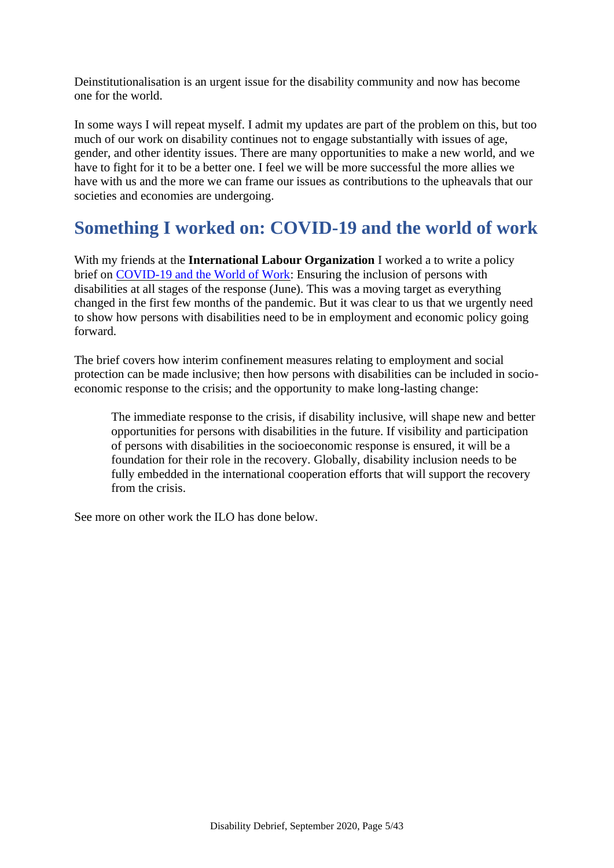Deinstitutionalisation is an urgent issue for the disability community and now has become one for the world.

In some ways I will repeat myself. I admit my updates are part of the problem on this, but too much of our work on disability continues not to engage substantially with issues of age, gender, and other identity issues. There are many opportunities to make a new world, and we have to fight for it to be a better one. I feel we will be more successful the more allies we have with us and the more we can frame our issues as contributions to the upheavals that our societies and economies are undergoing.

# <span id="page-4-0"></span>**Something I worked on: COVID-19 and the world of work**

With my friends at the **International Labour Organization** I worked a to write a policy brief on [COVID-19 and the World of Work:](https://www.ilo.org/global/topics/disability-and-work/WCMS_746909/lang--en/index.htm) Ensuring the inclusion of persons with disabilities at all stages of the response (June). This was a moving target as everything changed in the first few months of the pandemic. But it was clear to us that we urgently need to show how persons with disabilities need to be in employment and economic policy going forward.

The brief covers how interim confinement measures relating to employment and social protection can be made inclusive; then how persons with disabilities can be included in socioeconomic response to the crisis; and the opportunity to make long-lasting change:

The immediate response to the crisis, if disability inclusive, will shape new and better opportunities for persons with disabilities in the future. If visibility and participation of persons with disabilities in the socioeconomic response is ensured, it will be a foundation for their role in the recovery. Globally, disability inclusion needs to be fully embedded in the international cooperation efforts that will support the recovery from the crisis.

See more on other work the ILO has done below.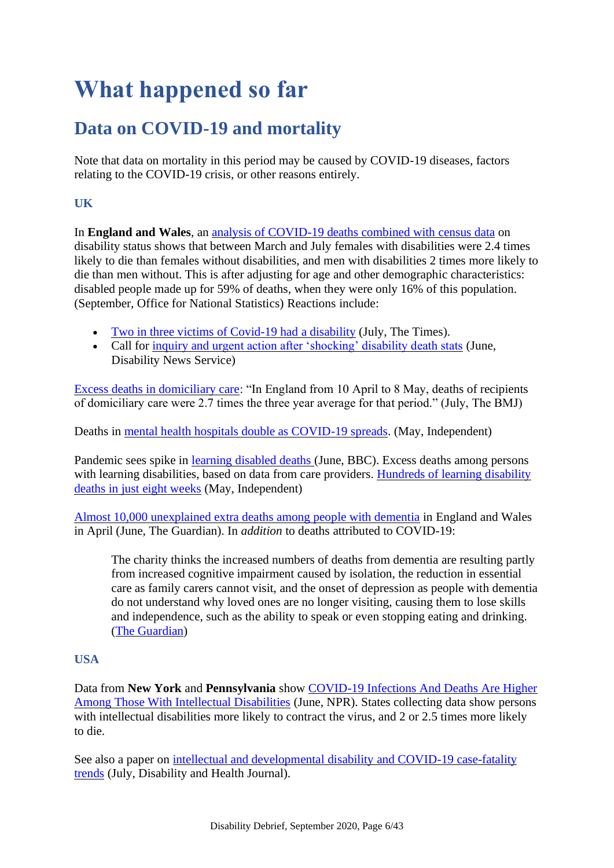# <span id="page-5-0"></span>**What happened so far**

# <span id="page-5-1"></span>**Data on COVID-19 and mortality**

Note that data on mortality in this period may be caused by COVID-19 diseases, factors relating to the COVID-19 crisis, or other reasons entirely.

### **UK**

In **England and Wales**, an [analysis of COVID-19 deaths combined with census data](https://www.ons.gov.uk/peoplepopulationandcommunity/birthsdeathsandmarriages/deaths/articles/coronaviruscovid19relateddeathsbydisabilitystatusenglandandwales/2marchto14july2020) on disability status shows that between March and July females with disabilities were 2.4 times likely to die than females without disabilities, and men with disabilities 2 times more likely to die than men without. This is after adjusting for age and other demographic characteristics: disabled people made up for 59% of deaths, when they were only 16% of this population. (September, Office for National Statistics) Reactions include:

- [Two in three victims of Covid-19 had a disability](https://www.thetimes.co.uk/article/two-in-three-victims-of-covid-19-had-a-disability-dcdx3gm20) (July, The Times).
- Call for [inquiry and urgent action after 'shocking' disability death stats](https://www.disabilitynewsservice.com/coronavirus-call-for-inquiry-and-urgent-action-after-shocking-disability-death-stats/) (June, Disability News Service)

[Excess deaths in domiciliary care:](https://www.bmj.com/content/370/bmj.m2751.full?ijkey=lytG3MxWzsmDwfy&keytype=ref) "In England from 10 April to 8 May, deaths of recipients of domiciliary care were 2.7 times the three year average for that period." (July, The BMJ)

Deaths in [mental health hospitals double as COVID-19 spreads.](https://www.independent.co.uk/news/health/coronavirus-mental-health-hospitals-deaths-cases-nhs-a9505066.html) (May, Independent)

Pandemic sees spike in [learning disabled deaths \(](https://www.bbc.com/news/disability-52891401)June, BBC). Excess deaths among persons with learning disabilities, based on data from care providers. Hundreds of learning disability [deaths in just eight weeks](https://www.independent.co.uk/news/health/coronavirus-learning-disability-nhs-england-mencap-a9522746.html) (May, Independent)

[Almost 10,000 unexplained extra deaths among people with dementia](https://www.theguardian.com/world/2020/jun/05/covid-19-causing-10000-dementia-deaths-beyond-infections-research-says) in England and Wales in April (June, The Guardian). In *addition* to deaths attributed to COVID-19:

The charity thinks the increased numbers of deaths from dementia are resulting partly from increased cognitive impairment caused by isolation, the reduction in essential care as family carers cannot visit, and the onset of depression as people with dementia do not understand why loved ones are no longer visiting, causing them to lose skills and independence, such as the ability to speak or even stopping eating and drinking. [\(The Guardian\)](https://www.theguardian.com/world/2020/jun/05/covid-19-causing-10000-dementia-deaths-beyond-infections-research-says)

### **USA**

Data from **New York** and **Pennsylvania** show [COVID-19 Infections And Deaths Are Higher](https://www.npr.org/2020/06/09/872401607/covid-19-infections-and-deaths-are-higher-among-those-with-intellectual-disabili)  [Among Those With Intellectual Disabilities](https://www.npr.org/2020/06/09/872401607/covid-19-infections-and-deaths-are-higher-among-those-with-intellectual-disabili) (June, NPR). States collecting data show persons with intellectual disabilities more likely to contract the virus, and 2 or 2.5 times more likely to die.

See also a paper on [intellectual and developmental disability and COVID-19 case-fatality](https://www.sciencedirect.com/science/article/pii/S1936657420300674)  [trends](https://www.sciencedirect.com/science/article/pii/S1936657420300674) (July, Disability and Health Journal).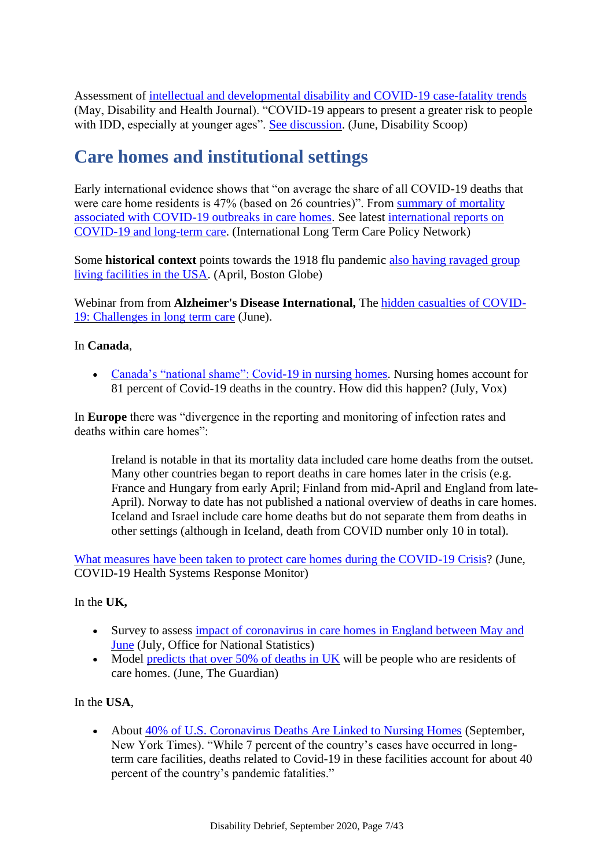Assessment of [intellectual and developmental disability and COVID-19 case-fatality trends](https://www.sciencedirect.com/science/article/pii/S1936657420300674?via%3Dihub) (May, Disability and Health Journal). "COVID-19 appears to present a greater risk to people with IDD, especially at younger ages". [See discussion.](https://www.disabilityscoop.com/2020/06/08/people-with-developmental-disabilities-more-likely-to-die-from-covid-19/28434/) (June, Disability Scoop)

# <span id="page-6-0"></span>**Care homes and institutional settings**

Early international evidence shows that "on average the share of all COVID-19 deaths that were care home residents is 47% (based on 26 countries)". From [summary of mortality](https://ltccovid.org/wp-content/uploads/2020/06/Mortality-associated-with-COVID-among-people-who-use-long-term-care-26-June-1.pdf)  [associated with COVID-19 outbreaks in care homes.](https://ltccovid.org/wp-content/uploads/2020/06/Mortality-associated-with-COVID-among-people-who-use-long-term-care-26-June-1.pdf) See latest [international reports on](https://ltccovid.org/international-reports-on-covid-19-and-long-term-care/)  [COVID-19 and long-term care.](https://ltccovid.org/international-reports-on-covid-19-and-long-term-care/) (International Long Term Care Policy Network)

Some **historical context** points towards the 1918 flu pandemic also having ravaged group [living facilities in the USA.](https://www.bostonglobe.com/2020/04/10/opinion/just-like-coronavirus-1918-flu-pandemic-ravaged-group-living-facilities/) (April, Boston Globe)

Webinar from from **Alzheimer's Disease International,** The [hidden casualties of COVID-](https://www.youtube.com/watch?v=z8Y2nA0oefs&feature=youtu.be)[19: Challenges in long term care](https://www.youtube.com/watch?v=z8Y2nA0oefs&feature=youtu.be) (June).

#### In **Canada**,

• [Canada's "national shame": Covid-19 in nursing homes.](https://www.vox.com/future-perfect/2020/7/7/21300521/canada-covid-19-nursing-homes-long-term-care) Nursing homes account for 81 percent of Covid-19 deaths in the country. How did this happen? (July, Vox)

In **Europe** there was "divergence in the reporting and monitoring of infection rates and deaths within care homes":

Ireland is notable in that its mortality data included care home deaths from the outset. Many other countries began to report deaths in care homes later in the crisis (e.g. France and Hungary from early April; Finland from mid-April and England from late-April). Norway to date has not published a national overview of deaths in care homes. Iceland and Israel include care home deaths but do not separate them from deaths in other settings (although in Iceland, death from COVID number only 10 in total).

[What measures have been taken to protect care homes during the COVID-19 Crisis?](https://analysis.covid19healthsystem.org/index.php/2020/06/08/what-measures-have-been-taken-to-protect-care-homes-during-the-covid-19-crisis/) (June, COVID-19 Health Systems Response Monitor)

#### In the **UK,**

- Survey to assess [impact of coronavirus in care homes in England between May](https://www.ons.gov.uk/peoplepopulationandcommunity/healthandsocialcare/conditionsanddiseases/articles/impactofcoronavirusincarehomesinenglandvivaldi/26mayto19june2020?fbclid=IwAR37SnIF0Z_gfMpY3YQeYNQwZbH4oO-6bOZjW1EJwiNaf_EamvmT3L3xpmk#main-points) and [June](https://www.ons.gov.uk/peoplepopulationandcommunity/healthandsocialcare/conditionsanddiseases/articles/impactofcoronavirusincarehomesinenglandvivaldi/26mayto19june2020?fbclid=IwAR37SnIF0Z_gfMpY3YQeYNQwZbH4oO-6bOZjW1EJwiNaf_EamvmT3L3xpmk#main-points) (July, Office for National Statistics)
- Model [predicts that over 50% of deaths in UK](https://www.theguardian.com/society/2020/jun/07/more-than-half-of-englands-coronavirus-related-deaths-will-be-people-from-care-homes) will be people who are residents of care homes. (June, The Guardian)

In the **USA**,

• About [40% of U.S. Coronavirus Deaths Are Linked to Nursing Homes](https://www.nytimes.com/interactive/2020/us/coronavirus-nursing-homes.html) (September, New York Times). "While 7 percent of the country's cases have occurred in longterm care facilities, deaths related to Covid-19 in these facilities account for about 40 percent of the country's pandemic fatalities."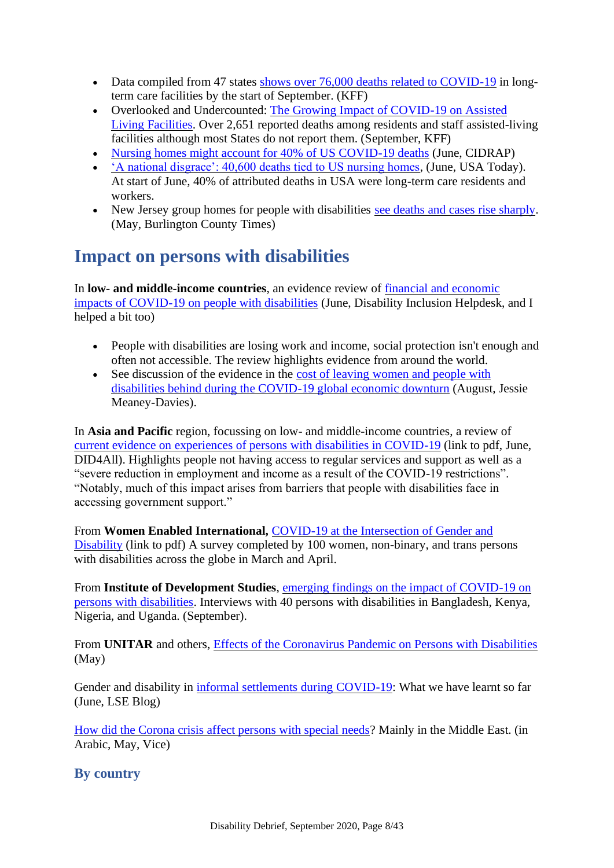- Data compiled from 47 states [shows over 76,000 deaths related to COVID-19](https://www.kff.org/health-costs/issue-brief/state-data-and-policy-actions-to-address-coronavirus/#stateleveldata) in longterm care facilities by the start of September. (KFF)
- Overlooked and Undercounted: [The Growing Impact of COVID-19 on Assisted](https://www.kff.org/report-section/overlooked-and-undercounted-the-growing-impact-of-covid-19-on-assisted-living-facilities-data-note/)  [Living Facilities.](https://www.kff.org/report-section/overlooked-and-undercounted-the-growing-impact-of-covid-19-on-assisted-living-facilities-data-note/) Over 2,651 reported deaths among residents and staff assisted-living facilities although most States do not report them. (September, KFF)
- [Nursing homes might account for 40% of US COVID-19 deaths](https://www.cidrap.umn.edu/news-perspective/2020/06/nursing-homes-might-account-40-us-covid-19-deaths) (June, CIDRAP)
- ['A national disgrace': 40,600 deaths tied to US nursing homes,](https://www.usatoday.com/story/news/investigations/2020/06/01/coronavirus-nursing-home-deaths-top-40-600/5273075002/) (June, USA Today). At start of June, 40% of attributed deaths in USA were long-term care residents and workers.
- New Jersey group homes for people with disabilities [see deaths and cases rise sharply.](https://www.burlingtoncountytimes.com/news/20200530/coronavirus-deaths-cases-in-nj-rise-sharply-among-residents-with-disabilities) (May, Burlington County Times)

# <span id="page-7-0"></span>**Impact on persons with disabilities**

In **low- and middle-income countries**, an evidence review of [financial and economic](https://www.sddirect.org.uk/media/2063/query-no-42-economic-impacts-of-covid-19.pdf)  [impacts of COVID-19 on people with disabilities](https://www.sddirect.org.uk/media/2063/query-no-42-economic-impacts-of-covid-19.pdf) (June, Disability Inclusion Helpdesk, and I helped a bit too)

- People with disabilities are losing work and income, social protection isn't enough and often not accessible. The review highlights evidence from around the world.
- See discussion of the evidence in the cost of leaving women and people with [disabilities behind during the COVID-19 global economic downturn](https://www.linkedin.com/pulse/cost-leaving-women-people-disabilities-behind-during-meaney-davis) (August, Jessie Meaney-Davies).

In **Asia and Pacific** region, focussing on low- and middle-income countries, a review of [current evidence on experiences of persons with disabilities in COVID-19](https://www.did4all.com.au/Resources/Full%20report_Evidence%20Summary%20Disability%20COVID_%20July20.pdf) (link to pdf, June, DID4All). Highlights people not having access to regular services and support as well as a "severe reduction in employment and income as a result of the COVID-19 restrictions". "Notably, much of this impact arises from barriers that people with disabilities face in accessing government support."

From **Women Enabled International,** [COVID-19 at the Intersection of](https://womenenabled.org/pdfs/Women%20Enabled%20International%20COVID-19%20at%20the%20Intersection%20of%20Gender%20and%20Disability%20Executive%20Summary%20May%202020%20Final.pdf) Gender and [Disability](https://womenenabled.org/pdfs/Women%20Enabled%20International%20COVID-19%20at%20the%20Intersection%20of%20Gender%20and%20Disability%20Executive%20Summary%20May%202020%20Final.pdf) (link to pdf) A survey completed by 100 women, non-binary, and trans persons with disabilities across the globe in March and April.

From **Institute of Development Studies**, [emerging findings on the impact of COVID-19 on](https://www.ids.ac.uk/opinions/the-impact-of-covid-19-on-people-with-disabilities-emerging-findings)  [persons with disabilities.](https://www.ids.ac.uk/opinions/the-impact-of-covid-19-on-people-with-disabilities-emerging-findings) Interviews with 40 persons with disabilities in Bangladesh, Kenya, Nigeria, and Uganda. (September).

From **UNITAR** and others, [Effects of the Coronavirus Pandemic on Persons with Disabilities](https://www.youtube.com/watch?v=-9nyr781qfk) (May)

Gender and disability in [informal settlements during COVID-19:](https://blogs.lse.ac.uk/gender/2020/06/29/gender-and-disability-in-informal-settlements-during-covid-19-what-we-have-learnt-so-far/) What we have learnt so far (June, LSE Blog)

[How did the Corona crisis affect persons with special needs?](https://www.vice.com/ar/article/889945/%D9%83%D9%8A%D9%81-%D8%A3%D8%AB%D8%B1%D8%AA-%D8%A3%D8%B2%D9%85%D8%A9-%D9%81%D9%8A%D8%B1%D9%88%D8%B3-%D9%83%D9%88%D8%B1%D9%88%D9%86%D8%A7-%D8%B9%D9%84%D9%89-%D8%A7%D9%84%D8%A3%D8%B4%D8%AE%D8%A7%D8%B5-%D9%85%D9%86-%D8%B0%D9%88%D9%8A-%D8%A7%D9%84%D8%A7%D8%AD%D8%AA%D9%8A%D8%A7%D8%AC%D8%A7%D8%AA-%D8%A7%D9%84%D8%AE%D8%A7%D8%B5%D8%A9) Mainly in the Middle East. (in Arabic, May, Vice)

**By country**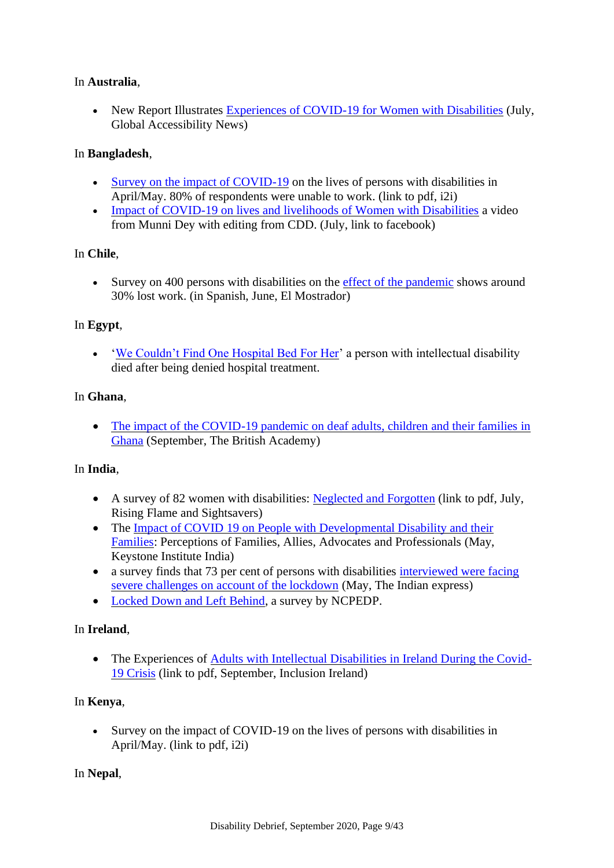#### In **Australia**,

• New Report Illustrates [Experiences of COVID-19 for Women with Disabilities](http://globalaccessibilitynews.com/2020/07/10/new-report-illustrates-experiences-of-covid-19-for-women-with-disabilities/) (July, Global Accessibility News)

#### In **Bangladesh**,

- [Survey on the impact of COVID-19](http://www.edf-feph.org/sites/default/files/i2i-covid19-survey-accessible_0.pdf) on the lives of persons with disabilities in April/May. 80% of respondents were unable to work. (link to pdf, i2i)
- [Impact of COVID-19 on lives and livelihoods of Women with Disabilities](https://www.facebook.com/250416575032408/posts/4143513855722641/) a video from Munni Dey with editing from CDD. (July, link to facebook)

#### In **Chile**,

• Survey on 400 persons with disabilities on the [effect of the pandemic](https://www.elmostrador.cl/agenda-pais/2020/06/25/efecto-de-la-pandemia-cerca-del-30-de-las-personas-en-situacion-de-discapacidad-han-perdido-su-empleo/) shows around 30% lost work. (in Spanish, June, El Mostrador)

#### In **Egypt**,

• ['We Couldn't Find One Hospital Bed For Her'](https://egyptianstreets.com/2020/06/03/we-could-not-find-one-hospital-bed-for-her-egyptian-adventurer-omar-samras-sister-dies-of-covid-19/) a person with intellectual disability died after being denied hospital treatment.

#### In **Ghana**,

• The impact of the COVID-19 pandemic on deaf adults, children and their families in [Ghana](https://www.thebritishacademy.ac.uk/publishing/journal-british-academy/8/impact-covid-19-pandemic-deaf-adults-children-and-their-families-ghana/) (September, The British Academy)

#### In **India**,

- A survey of 82 women with disabilities: [Neglected and Forgotten](https://risingflame.org/wp-content/uploads/2020/07/NeglectedAndForgotten_RFandSS.pdf) (link to pdf, July, Rising Flame and Sightsavers)
- The Impact of COVID 19 on People with Developmental Disability and their [Families:](https://www.keystonehumanservices.org/assets/documents/khsi/india/covid19/KII_CovidPaper.pdf) Perceptions of Families, Allies, Advocates and Professionals (May, Keystone Institute India)
- a survey finds that 73 per cent of persons with disabilities interviewed were facing [severe challenges on account of the lockdown](https://indianexpress.com/article/lifestyle/life-style/lockdown-people-with-disabilities-survey-disability-inclusive-guidelines-ncpedp-6420549/) (May, The Indian express)
- [Locked Down and Left Behind,](https://ncpedp.org/sites/all/themes/marinelli/documents/Report-locked_down_left_behind.pdf) a survey by NCPEDP.

#### In **Ireland**,

• The Experiences of [Adults with Intellectual Disabilities in Ireland During the Covid-](http://www.inclusionireland.ie/sites/default/files/attach/news-item/1880/report-experiences-adults-intellectual-disabilities-ireland-during-covid-19-crisis.pdf)[19 Crisis](http://www.inclusionireland.ie/sites/default/files/attach/news-item/1880/report-experiences-adults-intellectual-disabilities-ireland-during-covid-19-crisis.pdf) (link to pdf, September, Inclusion Ireland)

#### In **Kenya**,

• Survey on the impact of COVID-19 on the lives of persons with disabilities in April/May. (link to pdf, i2i)

#### In **Nepal**,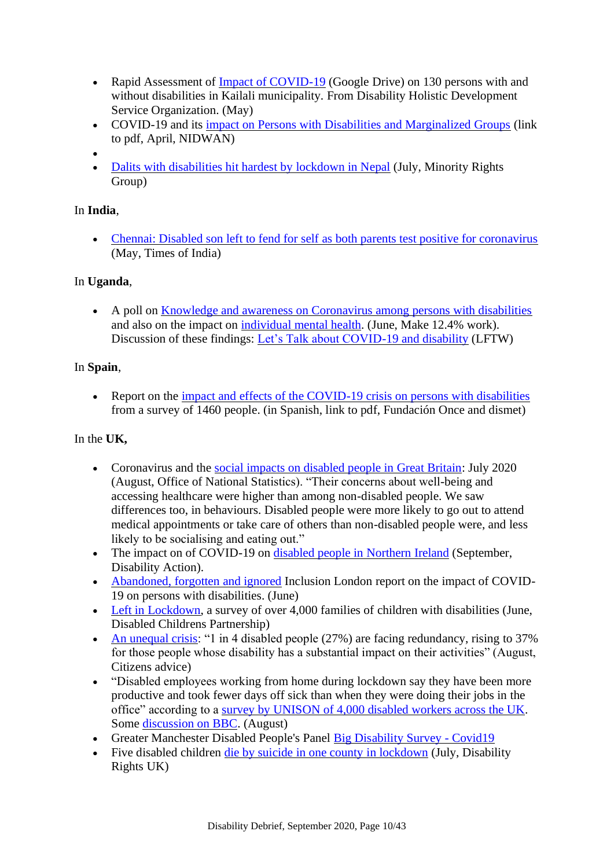- Rapid Assessment of Impact of COVID-19 (Google Drive) on 130 persons with and without disabilities i[n Kailali municipality. F](https://drive.google.com/file/d/1HFxCkF4Q8PdWmSkCJNaeQk0FSLtLvhhk/view?usp=sharing)rom Disability Holistic Development Service Organization. (May)
- COVID-19 and its [impact on Persons with Disabilities and Marginalized Groups](https://nidwan.org.np/wp-content/uploads/2020/04/NEPAL-COVID_NIDWAN-April-.pdf) (link to pdf, April, NIDWAN)
- •
- [Dalits with disabilities hit hardest by lockdown in Nepal](https://minorityrights.org/2020/07/21/covid19-dalits-nepal/) (July, Minority Rights) Group)

### In **India**,

• [Chennai: Disabled son left to fend for self as both parents test positive for coronavirus](https://timesofindia.indiatimes.com/city/chennai/disabled-son-left-to-fend-for-self-as-both-parents-test-positive-for-virus/articleshow/76099802.cms) (May, Times of India)

#### In **Uganda**,

• A poll on [Knowledge and awareness on Coronavirus among persons with disabilities](https://wecanwork.ug/poll-2-knowledge-and-awareness-on-coronavirus-among-persons-with-disabilities/) and also on the impact on [individual mental health.](https://wecanwork.ug/poll-3-the-impact-of-covid-19-on-individual-mental-health/) (June, Make 12.4% work). Discussion of these findings: [Let's Talk about COVID-19 and disability](https://www.light-for-the-world.org/lets-talk-about-covid-19-and-disability) (LFTW)

#### In **Spain**,

• Report on the [impact and effects of the COVID-19 crisis on persons with disabilities](https://www.odismet.es/sites/default/files/2020-07/Informe_EstudioCOVID_19_v3_0.pdf) from a survey of 1460 people. (in Spanish, link to pdf, Fundación Once and dismet)

#### In the **UK,**

- Coronavirus and the [social impacts on disabled people in Great Britain:](https://www.ons.gov.uk/peoplepopulationandcommunity/healthandsocialcare/disability/articles/coronavirusandthesocialimpactsondisabledpeopleingreatbritain/july2020) July 2020 (August, Office of National Statistics). "Their concerns about well-being and accessing healthcare were higher than among non-disabled people. We saw differences too, in behaviours. Disabled people were more likely to go out to attend medical appointments or take care of others than non-disabled people were, and less likely to be socialising and eating out."
- The impact on of COVID-19 on [disabled people in Northern Ireland](https://www.disabilityaction.org/news/report-now-available-the-impact-of-covid-19-on-disabled-people-in-ni) (September, Disability Action).
- [Abandoned, forgotten and ignored](https://www.inclusionlondon.org.uk/disability-in-london/coronavirus-updates-and-information/campaigns-news-during-coronavirus-crisis/abandoned-forgotten-and-ignored-the-impact-of-covid-19-on-disabled-people/) Inclusion London report on the impact of COVID-19 on persons with disabilities. (June)
- [Left in Lockdown,](https://disabledchildrenspartnership.org.uk/left-in-lockdown/) a survey of over 4,000 families of children with disabilities (June, Disabled Childrens Partnership)
- [An unequal crisis:](https://www.citizensadvice.org.uk/about-us/policy/policy-research-topics/work-policy-research-surveys-and-consultation-responses/work-policy-research/an-unequal-crisis/) "1 in 4 disabled people (27%) are facing redundancy, rising to 37% for those people whose disability has a substantial impact on their activities" (August, Citizens advice)
- "Disabled employees working from home during lockdown say they have been more productive and took fewer days off sick than when they were doing their jobs in the office" according to a [survey by UNISON of 4,000 disabled workers across the UK.](https://www.unison.org.uk/news/press-release/2020/08/give-disabled-people-right-work-home-covid-19-says-unison/) Some [discussion on BBC.](https://www.bbc.co.uk/news/uk-wales-53896117) (August)
- Greater Manchester Disabled People's Panel [Big Disability Survey -](https://gmdisabledpeoplespanel.com/gm-big-disability-survey-covid19/) Covid19
- Five disabled children [die by suicide in one county in lockdown](https://www.disabilityrightsuk.org/news/2020/july/five-disabled-children-die-suicide-one-county-lockdown) (July, Disability Rights UK)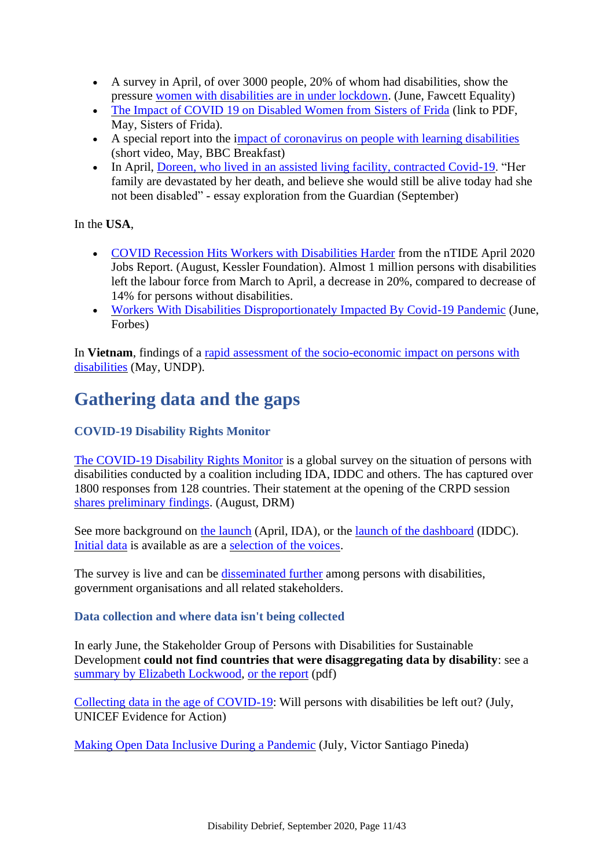- A survey in April, of over 3000 people, 20% of whom had disabilities, show the pressure [women with disabilities are in under lockdown.](https://www.fawcettsociety.org.uk/news/disabled-women-under-immense-pressure-during-lockdown) (June, Fawcett Equality)
- [The Impact of COVID 19 on Disabled Women from Sisters of Frida](http://www.sisofrida.org/wp-content/uploads/2020/05/The-impact-of-COVID-19-on-Disabled-women-from-Sisters-of-Frida.pdf) (link to PDF, May, Sisters of Frida).
- A special report into the [impact of coronavirus on people with learning disabilities](https://www.youtube.com/watch?v=AruFNqD27zI&feature=youtu.be) (short video, May, BBC Breakfast)
- In April, [Doreen, who lived in an assisted living facility, contracted Covid-19.](https://www.theguardian.com/society/2020/sep/01/it-tortures-me-to-imagine-her-dying-without-us-the-life-and-lonely-death-of-doreen-chappell?CMP=share_btn_tw) "Her family are devastated by her death, and believe she would still be alive today had she not been disabled" - essay exploration from the Guardian (September)

In the **USA**,

- [COVID Recession Hits Workers with Disabilities Harder](https://kesslerfoundation.org/press-release/ntide-april-2020-jobs-report-covid-recession-hits-workers-disabilities-harder) from the nTIDE April 2020 Jobs Report. (August, Kessler Foundation). Almost 1 million persons with disabilities left the labour force from March to April, a decrease in 20%, compared to decrease of 14% for persons without disabilities.
- [Workers With Disabilities Disproportionately Impacted By Covid-19 Pandemic](https://www.forbes.com/sites/allisonnorlian/2020/06/22/workers-with-disabilities-disproportionately-impacted-by-covid-19-pandemic) (June, Forbes)

In **Vietnam**, findings of a rapid assessment of the socio-economic impact on persons with [disabilities](https://www.vn.undp.org/content/vietnam/en/home/library/democratic_governance/ImpactPwDs.html) (May, UNDP).

# <span id="page-10-0"></span>**Gathering data and the gaps**

### **COVID-19 Disability Rights Monitor**

[The COVID-19 Disability Rights Monitor](https://covid-drm.org/) is a global survey on the situation of persons with disabilities conducted by a coalition including IDA, IDDC and others. The has captured over 1800 responses from 128 countries. Their statement at the opening of the CRPD session [shares preliminary findings.](https://covid-drm.org/en/statements/statement-on-behalf-of-the-coordinating-group-of-the-covid-19-disability-rights-monitor-at-the-opening-of-the-twenty-third-session-of-the-committee-on-the-rights-of-persons-with-disabilities) (August, DRM)

See more background on [the launch](http://www.internationaldisabilityalliance.org/covid-drm) (April, IDA), or the [launch of the dashboard](https://www.iddcconsortium.net/blog/launch-of-the-covid-19-disability-rights-monitor-dashboard/) (IDDC). [Initial data](https://covid-drm.org/data) is available as are a [selection of the voices.](https://covid-drm.org/voices)

The survey is live and can be [disseminated further](https://covid-drm.org/guidance) among persons with disabilities, government organisations and all related stakeholders.

### **Data collection and where data isn't being collected**

In early June, the Stakeholder Group of Persons with Disabilities for Sustainable Development **could not find countries that were disaggregating data by disability**: see a [summary by Elizabeth Lockwood,](https://www.linkedin.com/pulse/covid-19-data-collection-persons-disabilities-elizabeth-lockwood-phd) [or the report](https://unstats.un.org/sdgs/files/meetings/virtual-2jun2020/Agenda_2.G.pdf) (pdf)

[Collecting data in the age of COVID-19:](https://blogs.unicef.org/evidence-for-action/collecting-data-in-the-age-of-covid-19-will-persons-with-disabilities-be-left-out/) Will persons with disabilities be left out? (July, UNICEF Evidence for Action)

[Making Open Data Inclusive During a Pandemic](https://www.linkedin.com/pulse/making-open-data-inclusive-during-pandemic-victor-santiago-pineda/) (July, Victor Santiago Pineda)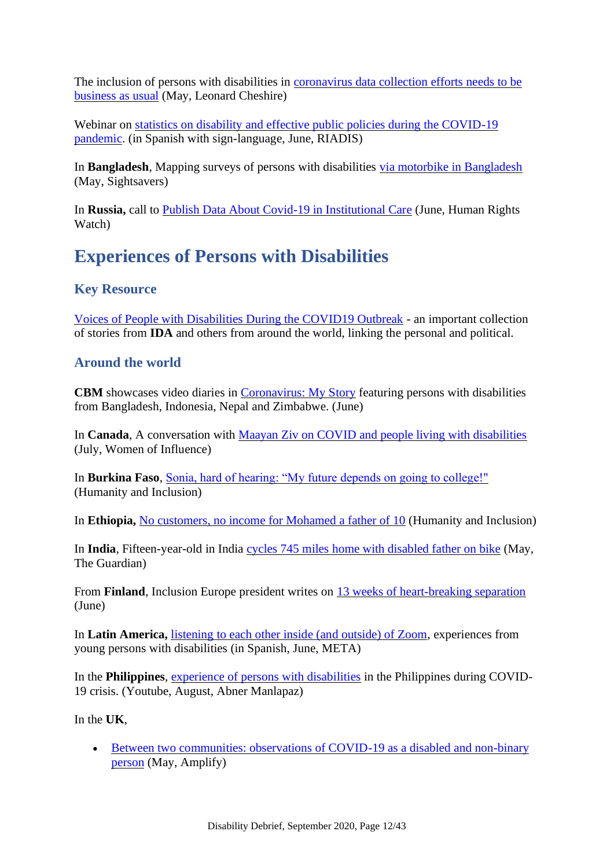The inclusion of persons with disabilities in [coronavirus data collection efforts needs to be](https://medium.com/@leonard.cheshire/the-inclusion-of-persons-with-disabilities-in-coronavirus-data-collection-efforts-needs-to-be-fc94122549ce)  [business as usual](https://medium.com/@leonard.cheshire/the-inclusion-of-persons-with-disabilities-in-coronavirus-data-collection-efforts-needs-to-be-fc94122549ce) (May, Leonard Cheshire)

Webinar on statistics on disability and effective public policies during the COVID-19 [pandemic.](https://www.facebook.com/187279918093128/videos/2542436402753004/) (in Spanish with sign-language, June, RIADIS)

In **Bangladesh**, Mapping surveys of persons with disabilities [via motorbike in Bangladesh](https://www.sightsavers.org/from-the-field/2020/05/husband-wife-mapping-motorbike/) (May, Sightsavers)

In **Russia,** call to [Publish Data About Covid-19 in Institutional Care](https://www.hrw.org/news/2020/06/02/russia-publish-data-about-covid-19-institutional-care) (June, Human Rights Watch)

## <span id="page-11-0"></span>**Experiences of Persons with Disabilities**

### **Key Resource**

[Voices of People with Disabilities During the COVID19 Outbreak](http://www.internationaldisabilityalliance.org/content/voices-people-disabilities-during-covid19-outbreak) - an important collection of stories from **IDA** and others from around the world, linking the personal and political.

### **Around the world**

**CBM** showcases video diaries in [Coronavirus: My Story](https://www.cbmuk.org.uk/coronavirus-my-story/) featuring persons with disabilities from Bangladesh, Indonesia, Nepal and Zimbabwe. (June)

In **Canada**, A conversation with [Maayan Ziv on COVID and people living with disabilities](https://www.womenofinfluence.ca/2020/07/06/a-conversation-with-maayan-ziv-on-covid-and-people-living-with-disabilities/) (July, Women of Influence)

In **Burkina Faso**, [Sonia, hard of hearing: "My future depends on going to college!"](https://humanity-inclusion.org.uk/en/news/sonia-hard-of-hearing-my-future-depends-on-going-to-college-) (Humanity and Inclusion)

In **Ethiopia,** [No customers, no income for Mohamed a father of 10](https://humanity-inclusion.org.uk/en/news/covid-19-in-ethiopia-no-customers-no-income-for-Mohamed-a-father-of-10) (Humanity and Inclusion)

In **India**, Fifteen-year-old in India [cycles 745 miles home with disabled father on bike](https://www.theguardian.com/world/2020/may/24/fifteen-year-old-in-india-cycles-745-miles-home-with-disabled-father-on-bike?CMP=Share_iOSApp_Other) (May, The Guardian)

From **Finland**, Inclusion Europe president writes on [13 weeks of heart-breaking separation](https://www.inclusion-europe.eu/letter-from-our-president-finland-covid19/) (June)

In **Latin America,** [listening to each other inside \(and outside\) of Zoom,](https://metajuvenil.wordpress.com/2020/06/16/tambienescuidar-la-importancia-de-escucharnos-dentro-y-fuera-de-zoom) experiences from young persons with disabilities (in Spanish, June, META)

In the **Philippines**, [experience of persons with disabilities](https://www.youtube.com/watch?v=KPBCcWFEiAA) in the Philippines during COVID-19 crisis. (Youtube, August, Abner Manlapaz)

In the **UK**,

• Between two communities: observations of COVID-19 as a disabled and non-binary [person](https://allisforall.com/2020/05/22/between-two-communities/) (May, Amplify)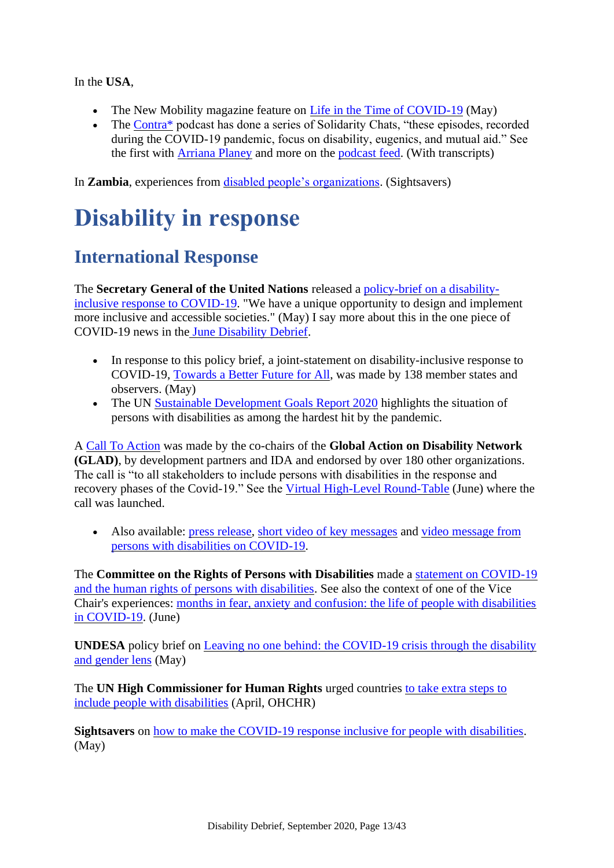In the **USA**,

- The New Mobility magazine feature on [Life in the Time of COVID-19](https://newmobility.com/2020/05/life-in-the-time-of-covid-19/) (May)
- The Contra<sup>\*</sup> podcast has done a series of Solidarity Chats, "these episodes, recorded during the COVID-19 pandemic, focus on disability, eugenics, and mutual aid." See the first with [Arriana Planey](https://www.mapping-access.com/podcast/2020/5/13/solidarity-chat-1-arrianna-planey) and more on the [podcast feed.](https://www.mapping-access.com/podcast) (With transcripts)

<span id="page-12-0"></span>In **Zambia**, experiences from [disabled people's organizations.](https://campaigning.sightsavers.org/story/zambia-disability-groups/) (Sightsavers)

# **Disability in response**

# <span id="page-12-1"></span>**International Response**

The **Secretary General of the United Nations** released a [policy-brief on a disability](https://www.un.org/en/coronavirus/we-have-unique-opportunity-design-and-implement-more-inclusive-and-accessible-societies)[inclusive response to COVID-19.](https://www.un.org/en/coronavirus/we-have-unique-opportunity-design-and-implement-more-inclusive-and-accessible-societies) "We have a unique opportunity to design and implement more inclusive and accessible societies." (May) I say more about this in the one piece of COVID-19 news in the [June Disability Debrief.](https://disabilitydebrief.substack.com/p/disability-debrief-disinfected-the)

- In response to this policy brief, a joint-statement on disability-inclusive response to COVID-19, [Towards a Better Future for All,](https://usun.usmission.gov/joint-statement-on-the-disability-inclusive-response-to-covid-19-towards-a-better-future-for-all/) was made by 138 member states and observers. (May)
- The UN [Sustainable Development Goals Report 2020](https://unstats.un.org/sdgs/report/2020/) highlights the situation of persons with disabilities as among the hardest hit by the pandemic.

A [Call To Action](https://gladnetwork.net/search/blog/call-rebuild-future-inclusive-all) was made by the co-chairs of the **Global Action on Disability Network (GLAD)**, by development partners and IDA and endorsed by over 180 other organizations. The call is "to all stakeholders to include persons with disabilities in the response and recovery phases of the Covid-19." See the [Virtual High-Level Round-Table](https://gladnetwork.net/search/events/virtual-high-level-round-table-issue-covid-19-and-disability) (June) where the call was launched.

• Also available: [press release,](https://gladnetwork.net/search/news/press-release-virtual-high-level-round-table-issue-covid-19-and-disability) [short video of key messages](https://www.youtube.com/watch?v=FtEJfu1foV8) and [video message from](https://www.youtube.com/watch?v=kHc-WfBDSS8)  [persons with disabilities on COVID-19.](https://www.youtube.com/watch?v=kHc-WfBDSS8)

The **Committee on the Rights of Persons with Disabilities** made a [statement on COVID-19](https://www.ohchr.org/EN/NewsEvents/Pages/DisplayNews.aspx?NewsID=25942&LangID=E)  [and the human rights of persons with disabilities.](https://www.ohchr.org/EN/NewsEvents/Pages/DisplayNews.aspx?NewsID=25942&LangID=E) See also the context of one of the Vice Chair's experiences: [months in fear, anxiety and confusion: the life of people with disabilities](https://www.ohchr.org/EN/NewsEvents/Pages/CRPD-COVID-19.aspx)  [in COVID-19.](https://www.ohchr.org/EN/NewsEvents/Pages/CRPD-COVID-19.aspx) (June)

**UNDESA** policy brief on [Leaving no one behind: the COVID-19 crisis through the disability](https://www.un.org/development/desa/dpad/publication/un-desa-policy-brief-69-leaving-no-one-behind-the-covid-19-crisis-through-the-disability-and-gender-lens/)  [and gender lens](https://www.un.org/development/desa/dpad/publication/un-desa-policy-brief-69-leaving-no-one-behind-the-covid-19-crisis-through-the-disability-and-gender-lens/) (May)

The **UN High Commissioner for Human Rights** urged countries [to take extra steps to](https://www.ohchr.org/EN/NewsEvents/Pages/DisplayNews.aspx?NewsID=25847&LangID=E)  [include people with disabilities](https://www.ohchr.org/EN/NewsEvents/Pages/DisplayNews.aspx?NewsID=25847&LangID=E) (April, OHCHR)

**Sightsavers** on [how to make the COVID-19 response inclusive for people with disabilities.](https://www.sightsavers.org/blogs/2020/05/covid-19-inclusive-response-disability/) (May)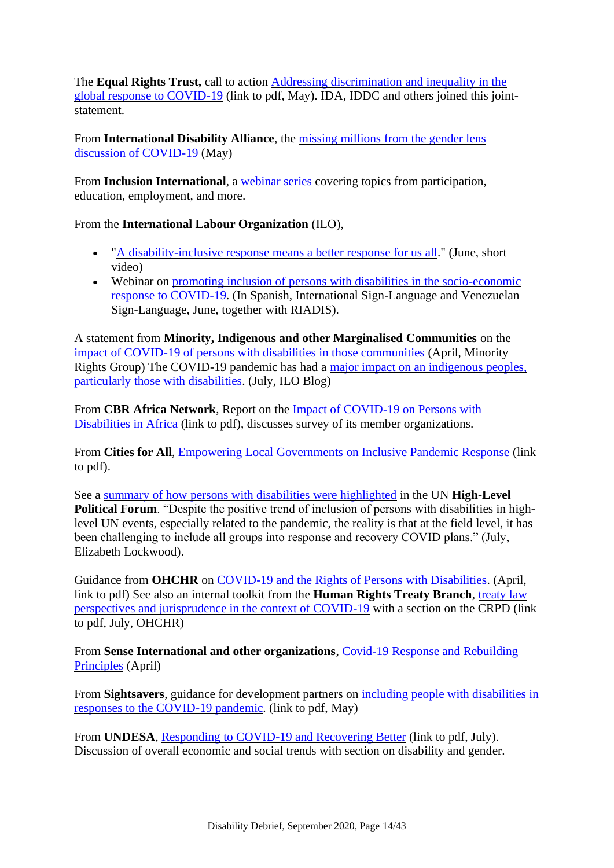The **Equal Rights Trust,** call to action [Addressing discrimination and inequality in the](https://www.equalrightstrust.org/sites/default/files/images/COVIDResponse.pdf)  [global response to COVID-19](https://www.equalrightstrust.org/sites/default/files/images/COVIDResponse.pdf) (link to pdf, May). IDA, IDDC and others joined this jointstatement.

From **International Disability Alliance**, the [missing millions from the gender lens](https://www.internationaldisabilityalliance.org/blog/gender-COVID19-follow-up)  [discussion of COVID-19](https://www.internationaldisabilityalliance.org/blog/gender-COVID19-follow-up) (May)

From **Inclusion International**, a [webinar series](https://inclusion-international.org/covid19-webinar-series/) covering topics from participation, education, employment, and more.

From the **International Labour Organization** (ILO),

- ["A disability-inclusive response means a better response for us all.](https://www.ilo.org/global/topics/disability-and-work/WCMS_747483/lang--en/index.htm)" (June, short video)
- Webinar on promoting inclusion of persons with disabilities in the socio-economic [response to COVID-19.](https://www.youtube.com/watch?v=zlvfJYMkxnw&feature=youtu.be) (In Spanish, International Sign-Language and Venezuelan Sign-Language, June, together with RIADIS).

A statement from **Minority, Indigenous and other Marginalised Communities** on the [impact of COVID-19 of persons with disabilities in those communities](https://minorityrights.org/2020/04/27/statement-covid-19-pandemic-on-persons-with-disabilities-from-minority-indigenous-communities/) (April, Minority Rights Group) The COVID-19 pandemic has had a [major impact on an indigenous peoples,](https://iloblog.org/2020/07/20/include-indigenous-people-in-covid-19-response/)  [particularly those with disabilities.](https://iloblog.org/2020/07/20/include-indigenous-people-in-covid-19-response/) (July, ILO Blog)

From **CBR Africa Network**, Report on the [Impact of COVID-19 on Persons with](https://mcusercontent.com/458c63b4dc1f273ceb29346aa/files/2100fb1d-245b-42de-ac23-d047d2cbf97f/Report_on_the_Impact_of_COVID_19_on_Persons_with_Disabilities_in_Africa.pdf)  [Disabilities in Africa](https://mcusercontent.com/458c63b4dc1f273ceb29346aa/files/2100fb1d-245b-42de-ac23-d047d2cbf97f/Report_on_the_Impact_of_COVID_19_on_Persons_with_Disabilities_in_Africa.pdf) (link to pdf), discusses survey of its member organizations.

From **Cities for All**, [Empowering Local Governments on Inclusive Pandemic Response](https://drive.google.com/file/d/1am8N10ygReY8NURnkNmJ5z3SQP1NjCN7/view) (link to pdf).

See a [summary of how persons with disabilities were highlighted](https://www.linkedin.com/pulse/sustainable-development-persons-disabilities-hlpf-lockwood-phd/) in the UN **High-Level Political Forum.** "Despite the positive trend of inclusion of persons with disabilities in highlevel UN events, especially related to the pandemic, the reality is that at the field level, it has been challenging to include all groups into response and recovery COVID plans." (July, Elizabeth Lockwood).

Guidance from **OHCHR** on [COVID-19 and the Rights of Persons with Disabilities.](https://www.ohchr.org/Documents/Issues/Disability/COVID-19_and_The_Rights_of_Persons_with_Disabilities.pdf) (April, link to pdf) See also an internal toolkit from the **Human Rights Treaty Branch**, [treaty law](https://www.ohchr.org/Documents/HRBodies/TB/COVID19/HRTB_toolkit_COVID_19.pdf)  [perspectives and jurisprudence in the context of COVID-19](https://www.ohchr.org/Documents/HRBodies/TB/COVID19/HRTB_toolkit_COVID_19.pdf) with a section on the CRPD (link to pdf, July, OHCHR)

From **Sense International and other organizations**, [Covid-19 Response and Rebuilding](https://senseinternational.org.uk/news/covid-19-response-and-rebuilding-principles)  [Principles](https://senseinternational.org.uk/news/covid-19-response-and-rebuilding-principles) (April)

From **Sightsavers**, guidance for development partners on [including people with disabilities in](https://www.sightsavers.org/wp-content/uploads/2020/05/Including-people-with-disabilities-in-the-COVID-19-response_Guidance-notes.pdf)  [responses to the COVID-19 pandemic.](https://www.sightsavers.org/wp-content/uploads/2020/05/Including-people-with-disabilities-in-the-COVID-19-response_Guidance-notes.pdf) (link to pdf, May)

From **UNDESA**, [Responding to COVID-19 and Recovering Better](https://www.un.org/development/desa/en/wp-content/uploads/2020/07/PB-Compilation-final.pdf) (link to pdf, July). Discussion of overall economic and social trends with section on disability and gender.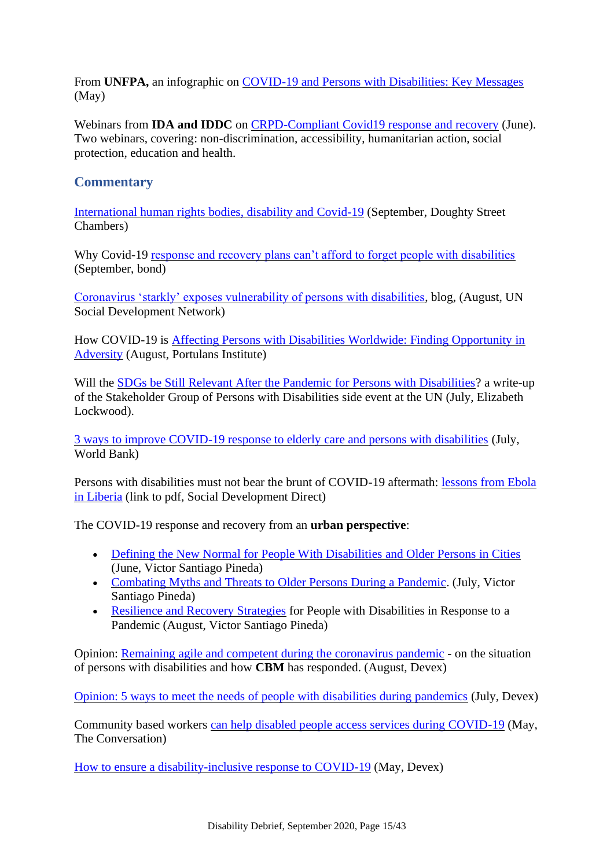From **UNFPA,** an infographic on [COVID-19 and Persons with Disabilities: Key Messages](https://www.unfpa.org/resources/covid-19-and-persons-disabilities-key-messages) (May)

Webinars from **IDA and IDDC** on [CRPD-Compliant Covid19 response and recovery](https://www.internationaldisabilityalliance.org/ida-iddc-webinars-covid19) (June). Two webinars, covering: non-discrimination, accessibility, humanitarian action, social protection, education and health.

### **Commentary**

[International human rights bodies, disability and Covid-19](https://insights.doughtystreet.co.uk/post/102gh0l/international-human-rights-bodies-disability-and-covid-19) (September, Doughty Street Chambers)

Why Covid-19 [response and recovery plans can't afford to forget people with disabilities](https://www.bond.org.uk/news/2020/09/why-covid-19-response-and-recovery-plans-cant-afford-to-forget-people-with-disabilities) (September, bond)

[Coronavirus 'starkly' exposes vulnerability of persons with disabilities,](https://unsdn.org/2020/08/18/coronavirus-starkly-exposes-vulnerability-of-persons-with-disabilities/) blog, (August, UN Social Development Network)

How COVID-19 is [Affecting Persons with Disabilities Worldwide: Finding Opportunity in](https://portulansinstitute.org/how-covid-19-is-affecting-persons-with-disabilities/)  [Adversity](https://portulansinstitute.org/how-covid-19-is-affecting-persons-with-disabilities/) (August, Portulans Institute)

Will the [SDGs be Still Relevant After the Pandemic for Persons with Disabilities?](https://www.linkedin.com/pulse/sdgs-still-relevant-after-pandemic-persons-elizabeth-lockwood-phd/) a write-up of the Stakeholder Group of Persons with Disabilities side event at the UN (July, Elizabeth Lockwood).

[3 ways to improve COVID-19 response to elderly care and persons with disabilities](https://blogs.worldbank.org/voices/3-ways-improve-covid-19-response-elderly-care-and-persons-disabilities) (July, World Bank)

Persons with disabilities must not bear the brunt of COVID-19 aftermath: [lessons from Ebola](https://www.sddirect.org.uk/media/1975/dr-mark-carew-leonard-cheshire-ebola-in-liberia-blog.pdf)  [in Liberia](https://www.sddirect.org.uk/media/1975/dr-mark-carew-leonard-cheshire-ebola-in-liberia-blog.pdf) (link to pdf, Social Development Direct)

The COVID-19 response and recovery from an **urban perspective**:

- [Defining the New Normal for People With Disabilities and Older Persons in Cities](https://www.linkedin.com/pulse/cities4all-webinar-9-defining-new-normal-people-older-pineda/) (June, Victor Santiago Pineda)
- [Combating Myths and Threats to Older Persons During a Pandemic.](https://www.linkedin.com/pulse/combating-myths-threats-older-persons-during-pandemic-pineda/) (July, Victor Santiago Pineda)
- [Resilience and Recovery Strategies](https://www.linkedin.com/pulse/resilience-recovery-strategies-people-disabilities-response-pineda/) for People with Disabilities in Response to a Pandemic (August, Victor Santiago Pineda)

Opinion: [Remaining agile and competent during the coronavirus pandemic](https://www.devex.com/news/sponsored/opinion-remaining-agile-and-competent-during-the-coronavirus-pandemic-97848) - on the situation of persons with disabilities and how **CBM** has responded. (August, Devex)

[Opinion: 5 ways to meet the needs of people with](https://www.devex.com/news/opinion-5-ways-to-meet-the-needs-of-people-with-disabilities-during-pandemics-97731) disabilities during pandemics (July, Devex)

Community based workers [can help disabled people access services during COVID-19](https://theconversation.com/community-based-workers-can-help-disabled-people-access-services-during-covid-19-137090?utm_source=twitter&utm_medium=bylinetwitterbutton) (May, The Conversation)

[How to ensure a disability-inclusive response to COVID-19](https://www.devex.com/news/how-to-ensure-a-disability-inclusive-response-to-covid-19-97134) (May, Devex)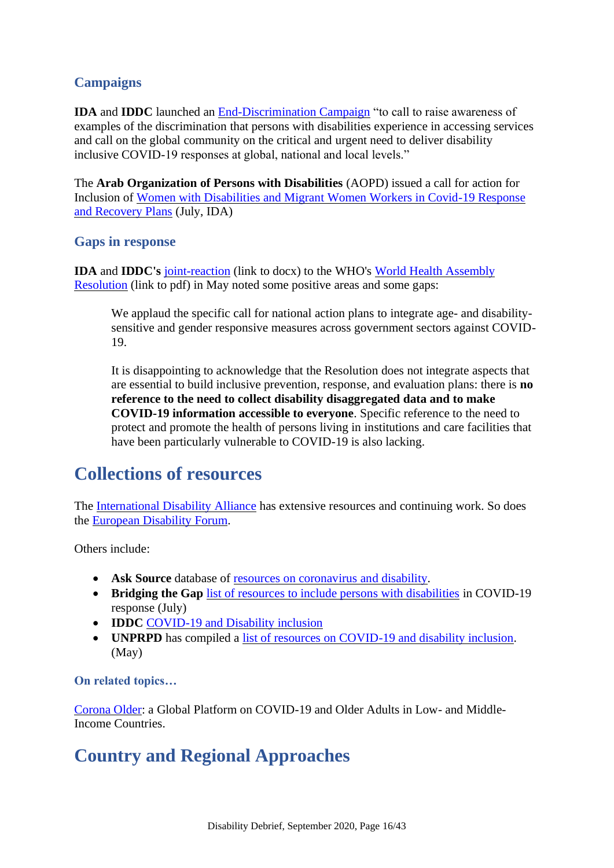### **Campaigns**

**IDA** and **IDDC** launched an [End-Discrimination Campaign](http://www.internationaldisabilityalliance.org/discrimination-covid19) "to call to raise awareness of examples of the discrimination that persons with disabilities experience in accessing services and call on the global community on the critical and urgent need to deliver disability inclusive COVID-19 responses at global, national and local levels."

The **Arab Organization of Persons with Disabilities** (AOPD) issued a call for action for Inclusion of [Women with Disabilities and Migrant Women Workers in Covid-19 Response](https://www.internationaldisabilityalliance.org/blog/aopd-cta-migrant-women-covid)  [and Recovery Plans](https://www.internationaldisabilityalliance.org/blog/aopd-cta-migrant-women-covid) (July, IDA)

#### **Gaps in response**

**IDA** and **IDDC's** [joint-reaction](https://bit.ly/3ctaWiI) (link to docx) to the WHO's [World Health Assembly](https://apps.who.int/gb/ebwha/pdf_files/WHA73/A73_CONF1-en.pdf)  [Resolution](https://apps.who.int/gb/ebwha/pdf_files/WHA73/A73_CONF1-en.pdf) (link to pdf) in May noted some positive areas and some gaps:

We applaud the specific call for national action plans to integrate age- and disabilitysensitive and gender responsive measures across government sectors against COVID-19.

It is disappointing to acknowledge that the Resolution does not integrate aspects that are essential to build inclusive prevention, response, and evaluation plans: there is **no reference to the need to collect disability disaggregated data and to make COVID-19 information accessible to everyone**. Specific reference to the need to protect and promote the health of persons living in institutions and care facilities that have been particularly vulnerable to COVID-19 is also lacking.

### <span id="page-15-0"></span>**Collections of resources**

The [International Disability Alliance](https://www.internationaldisabilityalliance.org/content/covid-19-and-disability-movement) has extensive resources and continuing work. So does the [European Disability Forum.](http://edf-feph.org/covid19)

Others include:

- **Ask Source** database of [resources on coronavirus and disability.](https://asksource.info/covid-resources/search)
- **Bridging the Gap** [list of resources to include persons with disabilities](https://bridgingthegap-project.eu/list-resources-include-persons-disabilities-covid-19-response/) in COVID-19 response (July)
- **IDDC [COVID-19 and Disability inclusion](https://www.iddcconsortium.net/our-work/covid-19-and-disability-inclusion/)**
- **UNPRPD** has compiled a [list of resources on COVID-19 and disability inclusion.](http://www.unprpd.org/covid-19) (May)

#### **On related topics…**

[Corona Older:](https://corona-older.com/) a Global Platform on COVID-19 and Older Adults in Low- and Middle-Income Countries.

# <span id="page-15-1"></span>**Country and Regional Approaches**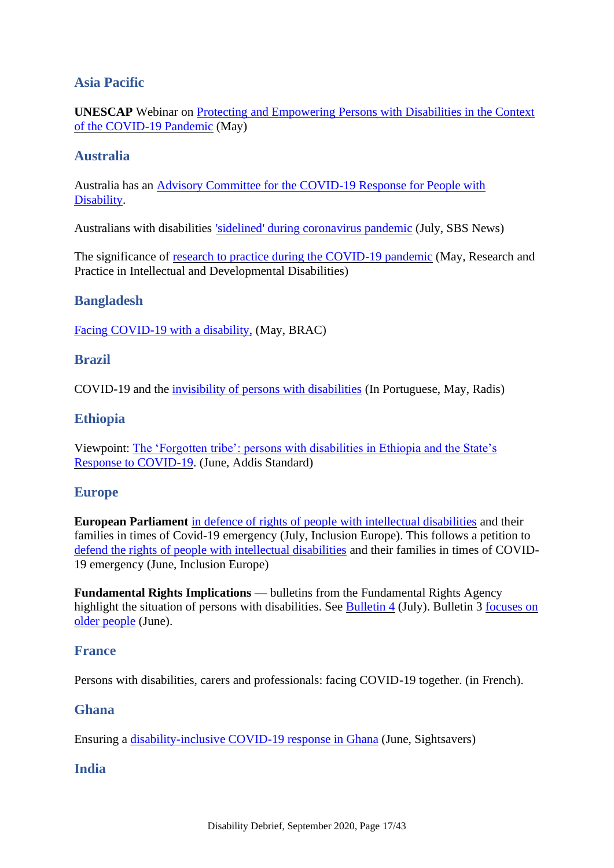### **Asia Pacific**

**UNESCAP** Webinar on [Protecting and Empowering Persons with Disabilities in the Context](https://www.unescap.org/events/webinar-protecting-and-empowering-persons-disabilities-context-covid-19-pandemic)  [of the COVID-19 Pandemic](https://www.unescap.org/events/webinar-protecting-and-empowering-persons-disabilities-context-covid-19-pandemic) (May)

#### **Australia**

Australia has an [Advisory Committee for the COVID-19 Response for People with](https://www.health.gov.au/committees-and-groups/advisory-committee-for-the-covid-19-response-for-people-with-disability)  [Disability.](https://www.health.gov.au/committees-and-groups/advisory-committee-for-the-covid-19-response-for-people-with-disability)

Australians with disabilities ['sidelined' during coronavirus pandemic](https://www.sbs.com.au/news/australians-with-disabilities-sidelined-during-coronavirus-pandemic) (July, SBS News)

The significance of <u>research to practice during the COVID-19 pandemic</u> (May, Research and Practice in Intellectual and Developmental Disabilities)

#### **Bangladesh**

[Facing COVID-19 with a disability,](http://blog.brac.net/facing-covid-19-with-a-disability/) (May, BRAC)

#### **Brazil**

COVID-19 and the [invisibility of persons with disabilities](https://radis.ensp.fiocruz.br/index.php/home/opiniao/covid-19-e-a-invisibilidade-das-pessoas-com-deficiencia) (In Portuguese, May, Radis)

#### **Ethiopia**

Viewpoint: [The 'Forgotten tribe': persons with disabilities in Ethiopia and the State's](https://addisstandard.com/viewpoint-the-forgotten-tribe-persons-with-disabilities-in-ethiopia-and-the-states-response-to-covid-19/)  [Response to COVID-19.](https://addisstandard.com/viewpoint-the-forgotten-tribe-persons-with-disabilities-in-ethiopia-and-the-states-response-to-covid-19/) (June, Addis Standard)

#### **Europe**

**European Parliament** [in defence of rights of people with intellectual disabilities](https://www.inclusion-europe.eu/european-parliament-in-defence-of-people-with-intellectual-disabilities-covid19/) and their families in times of Covid-19 emergency (July, Inclusion Europe). This follows a petition to [defend the rights of people with intellectual disabilities](https://www.inclusion-europe.eu/petition-defend-rights-people-intellectual-disabilities/) and their families in times of COVID-19 emergency (June, Inclusion Europe)

**Fundamental Rights Implications** — bulletins from the Fundamental Rights Agency highlight the situation of persons with disabilities. See [Bulletin 4](https://fra.europa.eu/en/publication/2020/covid19-rights-impact-july-1) (July). Bulletin 3 focuses on [older people](https://fra.europa.eu/en/publication/2020/covid19-rights-impact-june-1) (June).

#### **France**

[Persons with disabilities, carers and professionals: facing COVID-19 together.](https://solidaires-handicaps.fr/) (in French).

#### **Ghana**

Ensuring a [disability-inclusive COVID-19 response in Ghana](https://www.sightsavers.org/blogs/2020/06/ensuring-disability-inclusive-covid-response-ghana) (June, Sightsavers)

#### **India**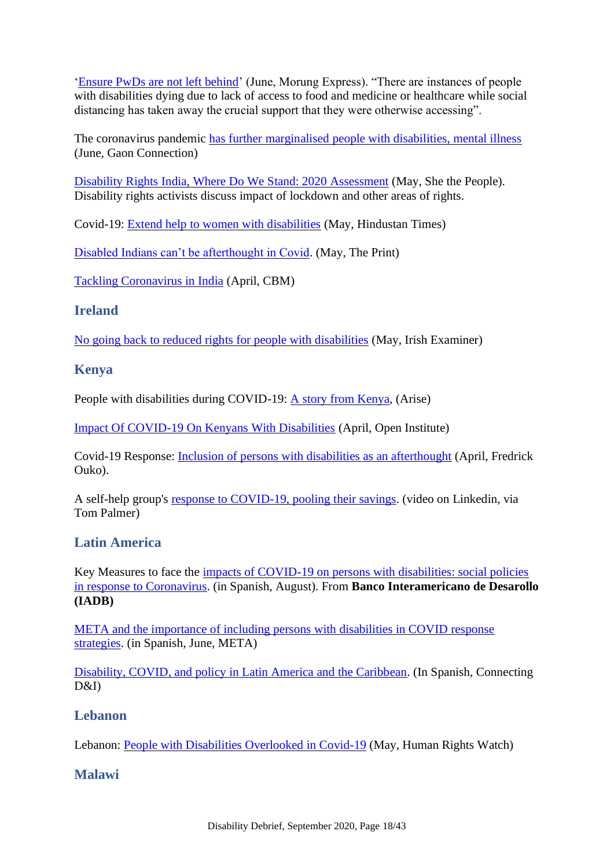['Ensure PwDs are not left behind'](https://morungexpress.com/ensure-pwds-are-not-left-behind) (June, Morung Express). "There are instances of people with disabilities dying due to lack of access to food and medicine or healthcare while social distancing has taken away the crucial support that they were otherwise accessing".

The coronavirus pandemic [has further marginalised people with disabilities, mental illness](https://en.gaonconnection.com/the-coronavirus-pandemic-has-further-marginalised-people-with-disabilities/) (June, Gaon Connection)

[Disability Rights India, Where Do We Stand: 2020 Assessment](https://www.shethepeople.tv/law-and-her/disability-rights-india-2020-assessment/) (May, She the People). Disability rights activists discuss impact of lockdown and other areas of rights.

Covid-19: [Extend help to women with disabilities](https://www.hindustantimes.com/columns/covid-19-extend-help-to-women-with-disabilities/story-7QVr4cYy9mpb0YjBvHifjI.html) (May, Hindustan Times)

[Disabled Indians can't be afterthought in Covid.](https://theprint.in/opinion/indias-disabled-cant-be-afterthought-in-covid-crisis/428162/) (May, The Print)

[Tackling Coronavirus in India](https://www.cbm.org/news/news/news-2020/tackling-coronavirus-in-india/) (April, CBM)

### **Ireland**

No going back [to reduced rights for people with disabilities](https://www.irishexaminer.com/opinion/commentanalysis/arid-30999141.html) (May, Irish Examiner)

### **Kenya**

People with disabilities during COVID-19: [A story from Kenya,](http://www.ariseconsortium.org/kenya-disabilities-during-covid-19/) (Arise)

[Impact Of COVID-19 On Kenyans With Disabilities](https://openinstitute.com/impact-of-covid-19-on-kenyans-with-disabilities/) (April, Open Institute)

Covid-19 Response: [Inclusion of persons with disabilities as an afterthought](https://www.fredrickouko.org/news/covid-19-response-inclusion-of-persons-with-disabilities-as-an-afterthought/) (April, Fredrick Ouko).

A self-help group's [response to COVID-19, pooling their savings.](https://www.linkedin.com/posts/tompalmer44_pwds-finalmp4-activity-6676472710652018689--3_A/) (video on Linkedin, via Tom Palmer)

### **Latin America**

Key Measures to face the [impacts of COVID-19 on persons with disabilities: social policies](https://publications.iadb.org/es/medidas-claves-para-afrontar-los-impactos-del-covid-19-en-las-personas-con-discapacidad-politicas)  [in response to Coronavirus.](https://publications.iadb.org/es/medidas-claves-para-afrontar-los-impactos-del-covid-19-en-las-personas-con-discapacidad-politicas) (in Spanish, August). From **Banco Interamericano de Desarollo (IADB)**

[META and the importance of including persons with disabilities in COVID response](https://metajuvenil.wordpress.com/2020/06/01/tambienescuidar-meta-y-la-importancia-de-incluir-a-las-personas-con-discapacidad-en-las-estrategias-de-respuesta-ante-el-covid-19/)  [strategies.](https://metajuvenil.wordpress.com/2020/06/01/tambienescuidar-meta-y-la-importancia-de-incluir-a-las-personas-con-discapacidad-en-las-estrategias-de-respuesta-ante-el-covid-19/) (in Spanish, June, META)

[Disability, COVID, and policy in Latin America and the Caribbean.](https://www.connectingdi.com/columna-de-opinion-07/) (In Spanish, Connecting D&I)

### **Lebanon**

Lebanon: [People with Disabilities Overlooked in Covid-19](https://www.hrw.org/news/2020/05/11/lebanon-people-disabilities-overlooked-covid-19) (May, Human Rights Watch)

### **Malawi**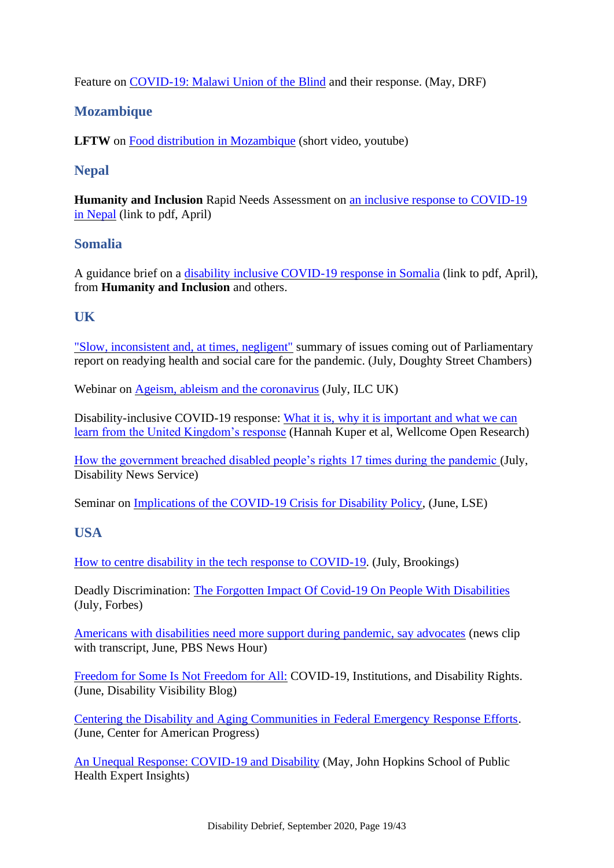Feature on [COVID-19: Malawi Union of the Blind](https://disabilityrightsfund.org/covid-19-malawi-union-of-the-blind/) and their response. (May, DRF)

### **Mozambique**

**LFTW** on [Food distribution in Mozambique](https://www.youtube.com/watch?v=VLEoQk7-g9E) (short video, youtube)

### **Nepal**

**Humanity and Inclusion** Rapid Needs Assessment on [an inclusive response to COVID-19](https://www.fsnnetwork.org/sites/default/files/HI%20Rapid%20Need%20Assessment%20-%20An%20Inclusive%20response%20to%20COVID-19%20in%20Nepal.pdf)  [in Nepal](https://www.fsnnetwork.org/sites/default/files/HI%20Rapid%20Need%20Assessment%20-%20An%20Inclusive%20response%20to%20COVID-19%20in%20Nepal.pdf) (link to pdf, April)

### **Somalia**

A guidance brief on a [disability inclusive COVID-19 response in Somalia](https://www.humanitarianresponse.info/sites/www.humanitarianresponse.info/files/documents/files/somalia20disability20inclusion20guidance20covid20192002042020.pdf) (link to pdf, April), from **Humanity and Inclusion** and others.

### **UK**

["Slow, inconsistent and, at times, negligent"](https://insights.doughtystreet.co.uk/post/102gcfh/slow-inconsistent-and-at-times-negligent) summary of issues coming out of Parliamentary report on readying health and social care for the pandemic. (July, Doughty Street Chambers)

Webinar on [Ageism, ableism and the coronavirus](https://ilcuk.org.uk/webinar-ageism-ableism-and-the-coronavirus/) (July, ILC UK)

Disability-inclusive COVID-19 response: [What it is, why it is important and what we can](https://wellcomeopenresearch.org/articles/5-79)  [learn from the United Kingdom's response](https://wellcomeopenresearch.org/articles/5-79) (Hannah Kuper et al, Wellcome Open Research)

[How the government breached disabled people's rights 17 times during the pandemic \(](https://www.disabilitynewsservice.com/coronavirus-how-the-government-breached-disabled-peoples-rights-17-times-during-the-pandemic/)July, Disability News Service)

Seminar on [Implications of the COVID-19 Crisis for Disability Policy,](https://www.lse.ac.uk/Events/2020/06/202006231530/Implications-of-the-COVID-19-Crisis-for-Disability-Policy) (June, LSE)

### **USA**

[How to centre disability in the tech response to COVID-19.](https://www.brookings.edu/techstream/how-to-center-disability-in-the-tech-response-to-covid-19/) (July, Brookings)

Deadly Discrimination: [The Forgotten Impact Of Covid-19 On People With Disabilities](https://www.forbes.com/sites/sfrost/2020/07/06/deadly-discrimination/#1da9ea572b93) (July, Forbes)

[Americans with disabilities need more support during pandemic, say advocates](https://www.pbs.org/newshour/show/americans-with-disabilities-need-more-support-during-pandemic-say-advocates) (news clip with transcript, June, PBS News Hour)

[Freedom for Some Is Not Freedom for All:](https://disabilityvisibilityproject.com/2020/06/07/freedom-for-some-is-not-freedom-for-all/) COVID-19, Institutions, and Disability Rights. (June, Disability Visibility Blog)

[Centering the Disability and Aging Communities in Federal Emergency Response Efforts.](https://www.americanprogress.org/issues/disability/news/2020/06/16/486347/centering-disability-aging-communities-federal-emergency-response-efforts/) (June, Center for American Progress)

[An Unequal Response: COVID-19 and Disability](https://www.jhsph.edu/covid-19/articles/an-unequal-response-covid-19-and-disability.html) (May, John Hopkins School of Public Health Expert Insights)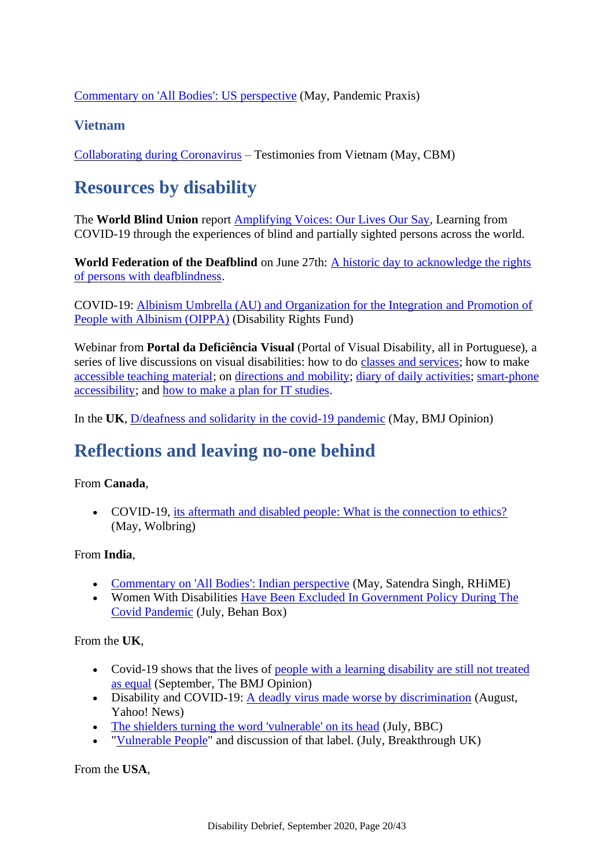[Commentary on 'All Bodies': US perspective](https://www.rhime.in/ojs/index.php/rhime/article/view/349/314) (May, Pandemic Praxis)

### **Vietnam**

<span id="page-19-0"></span>[Collaborating during Coronavirus](https://www.cbm.org/news/news/news-2020/collaborating-during-coronavirus-testimonies-from-vietnam/) – Testimonies from Vietnam (May, CBM)

# **Resources by disability**

The **World Blind Union** report [Amplifying Voices: Our Lives Our Say,](http://www.worldblindunion.org/English/resources/Pages/General-Documents.aspx) Learning from COVID-19 through the experiences of blind and partially sighted persons across the world.

**World Federation of the Deafblind** on June 27th: [A historic day to acknowledge the rights](https://www.wfdb.eu/2020/06/26/june-27th-a-historic-day-to-acknowledge-the-rights-of-persons-with-deafblindness/)  [of persons with deafblindness.](https://www.wfdb.eu/2020/06/26/june-27th-a-historic-day-to-acknowledge-the-rights-of-persons-with-deafblindness/)

COVID-19: [Albinism Umbrella \(AU\) and Organization for the Integration and Promotion of](https://disabilityrightsfund.org/covid-19-au-and-oippa/)  [People with Albinism \(OIPPA\)](https://disabilityrightsfund.org/covid-19-au-and-oippa/) (Disability Rights Fund)

Webinar from **Portal da Deficiência Visual** (Portal of Visual Disability, all in Portuguese), a series of live discussions on visual disabilities: how to do [classes and services;](https://www.youtube.com/watch?v=k1GWgWL7kDY) how to make [accessible teaching material;](https://www.youtube.com/watch?v=7v2-BK_wBD0) on [directions and mobility;](https://www.youtube.com/watch?v=A1gZmFIgKOg) [diary of daily activities; smart-phone](https://www.youtube.com/watch?v=AKNLD2wbs5U)  [accessibility;](https://www.youtube.com/watch?v=AKNLD2wbs5U) and [how to make a plan for IT studies.](https://www.youtube.com/watch?v=2vPLY0OQlb0)

<span id="page-19-1"></span>In the **UK**, [D/deafness and solidarity in the covid-19 pandemic](https://blogs.bmj.com/bmj/2020/05/20/d-deafness-and-solidarity-in-the-covid-19-pandemic/) (May, BMJ Opinion)

### **Reflections and leaving no-one behind**

#### From **Canada**,

• COVID-19, [its aftermath and disabled people: What is the connection to ethics?](https://wolbring.wordpress.com/2020/05/19/covid-19-its-aftermath-and-disabled-people-what-is-the-connection-to-ethics/) (May, Wolbring)

#### From **India**,

- [Commentary on 'All Bodies': Indian perspective](https://www.rhime.in/ojs/index.php/rhime/article/view/350/313) (May, Satendra Singh, RHiME)
- Women With Disabilities [Have Been Excluded In Government Policy During The](https://www.behanbox.com/women-with-disabilities-have-been-excluded-in-government-policy-during-the-covid-pandemic/)  [Covid Pandemic](https://www.behanbox.com/women-with-disabilities-have-been-excluded-in-government-policy-during-the-covid-pandemic/) (July, Behan Box)

From the **UK**,

- Covid-19 shows that the lives of people with a learning disability are still not treated [as equal](https://blogs.bmj.com/bmj/2020/09/01/covid-19-shows-that-the-lives-of-people-with-a-learning-disability-are-still-not-treated-as-equal/) (September, The BMJ Opinion)
- Disability and COVID-19: [A deadly virus made worse by discrimination](https://news.yahoo.com/disability-coronavirus-discrimination-ons-135611408.html) (August, Yahoo! News)
- [The shielders turning the word 'vulnerable' on its head](https://www.bbc.co.uk/news/disability-53351241) (July, BBC)
- ["Vulnerable People"](https://www.breakthrough-uk.co.uk/blog/vulnerable-people) and discussion of that label. (July, Breakthrough UK)

From the **USA**,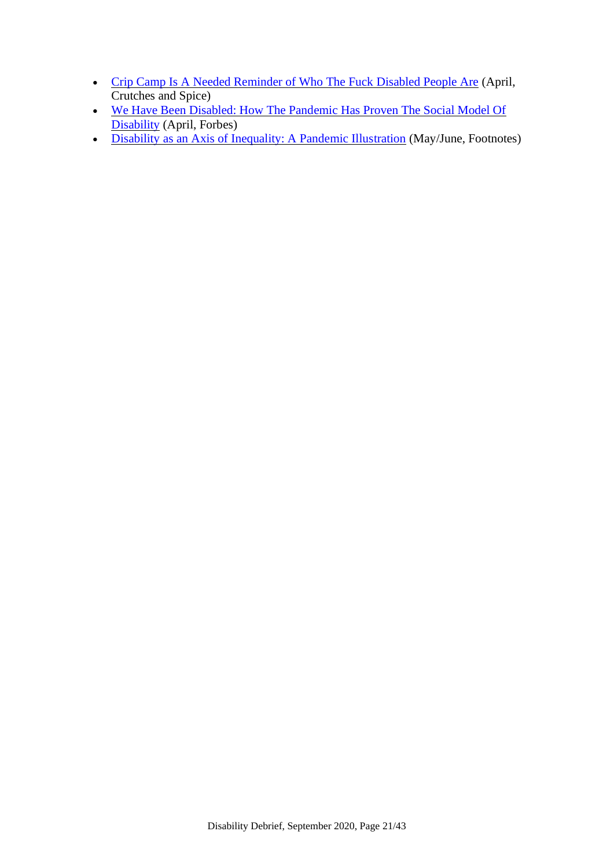- [Crip Camp Is A Needed Reminder of Who The Fuck Disabled People Are](https://crutchesandspice.com/2020/04/05/crip-camp-is-a-needed-reminder-of-who-the-fuck-disabled-people-are/) (April, Crutches and Spice)
- [We Have Been Disabled: How The Pandemic Has Proven The Social Model Of](https://www.forbes.com/sites/drnancydoyle/2020/04/29/we-have-been-disabled-how-the-pandemic-has-proven-the-social-model-of-disability/)  [Disability](https://www.forbes.com/sites/drnancydoyle/2020/04/29/we-have-been-disabled-how-the-pandemic-has-proven-the-social-model-of-disability/) (April, Forbes)
- [Disability as an Axis of Inequality: A Pandemic Illustration](https://www.asanet.org/news-events/footnotes/may-jun-2020/research-policy/disability-axis-inequality-pandemic-illustration-disability-society) (May/June, Footnotes)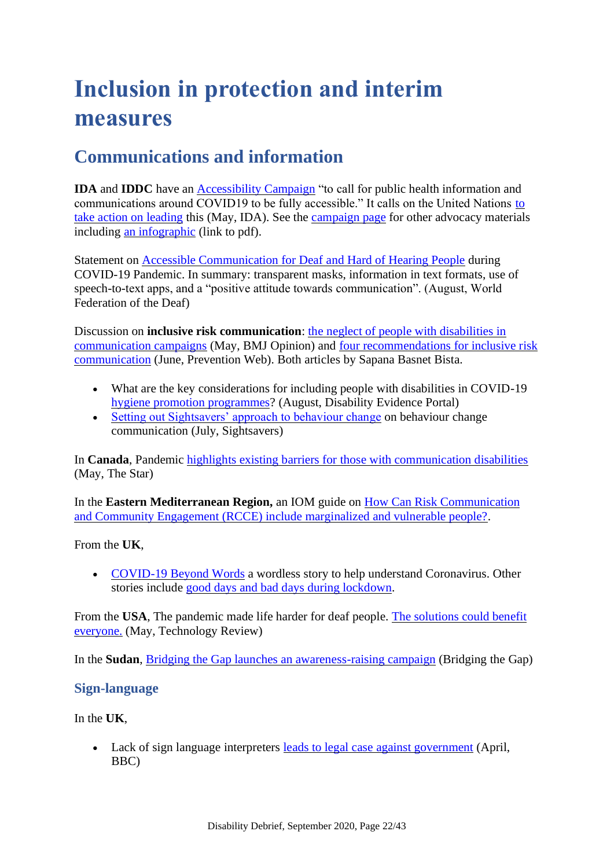# <span id="page-21-0"></span>**Inclusion in protection and interim measures**

## <span id="page-21-1"></span>**Communications and information**

**IDA** and **IDDC** have an [Accessibility Campaign](http://www.internationaldisabilityalliance.org/acessibility-campaign) "to call for public health information and communications around COVID19 to be fully accessible." It calls on the United Nations [to](http://www.internationaldisabilityalliance.org/un-take-action-covid19)  [take action on leading](http://www.internationaldisabilityalliance.org/un-take-action-covid19) this (May, IDA). See the [campaign page](http://www.internationaldisabilityalliance.org/acessibility-campaign) for other advocacy materials including [an infographic](http://www.internationaldisabilityalliance.org/sites/default/files/covid19_accessibility_infographic.pdf) (link to pdf).

Statement on [Accessible Communication for Deaf and Hard of Hearing People](http://wfdeaf.org/news/statement-on-accessible-communication-during-covid-19-pandemic/) during COVID-19 Pandemic. In summary: transparent masks, information in text formats, use of speech-to-text apps, and a "positive attitude towards communication". (August, World Federation of the Deaf)

Discussion on **inclusive risk communication**: the neglect of people with disabilities in [communication campaigns](https://blogs.bmj.com/bmj/2020/05/06/sapana-basnet-bista-covid-19-and-the-neglect-of-people-with-disabilities-in-communication-campaigns/) (May, BMJ Opinion) and [four recommendations for inclusive risk](https://www.preventionweb.net/experts/oped/view/72100)  [communication](https://www.preventionweb.net/experts/oped/view/72100) (June, Prevention Web). Both articles by Sapana Basnet Bista.

- What are the key considerations for including people with disabilities in COVID-19 [hygiene promotion programmes?](https://www.disabilityevidence.org/questions-evidence/what-are-key-considerations-including-people-disabilities-covid-19-hygiene) (August, Disability Evidence Portal)
- [Setting out Sightsavers' approach to behaviour change](https://www.sightsavers.org/blogs/2020/07/sightsavers-behaviour-change/) on behaviour change communication (July, Sightsavers)

In **Canada**, Pandemic [highlights existing barriers for those with communication disabilities](https://www.thestar.com/news/canada/2020/05/07/pandemic-highlights-existing-barriers-for-those-with-communication-disabilities.html) (May, The Star)

In the **Eastern Mediterranean Region,** an IOM guide on [How Can Risk Communication](https://rocairo.iom.int/publications/how-can-risk-communication-and-community-engagement-rcce-include-marginalized-and)  [and Community Engagement \(RCCE\) include marginalized and vulnerable people?.](https://rocairo.iom.int/publications/how-can-risk-communication-and-community-engagement-rcce-include-marginalized-and)

From the **UK**,

• [COVID-19 Beyond Words](https://booksbeyondwords.co.uk/downloads-shop/beating-the-virus) a wordless story to help understand Coronavirus. Other stories include [good days and bad days during lockdown.](https://booksbeyondwords.co.uk/downloads-shop/good-days-bad-days)

From the **USA**, The pandemic made life harder for deaf people. [The solutions could benefit](https://www.technologyreview.com/2020/05/28/1002314/clear-mask-captioning-live-transcription-deaf-coronavirus-pandemic/)  [everyone.](https://www.technologyreview.com/2020/05/28/1002314/clear-mask-captioning-live-transcription-deaf-coronavirus-pandemic/) (May, Technology Review)

In the **Sudan**, [Bridging the Gap launches an awareness-raising campaign](https://bridgingthegap-project.eu/bridging-the-gap-launches-an-awareness-raising-campaign-on-covid-19-in-sudan/) (Bridging the Gap)

### **Sign-language**

In the **UK**,

• Lack of sign language interpreters [leads to legal case against government](https://www.bbc.com/news/disability-52323854) (April, BBC)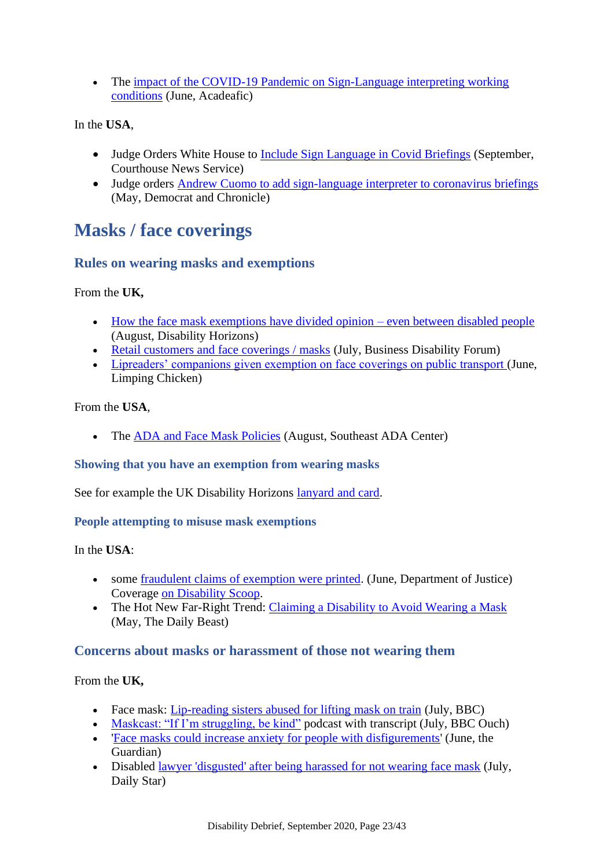• The impact of the COVID-19 Pandemic on Sign-Language interpreting working [conditions](https://acadeafic.org/2020/06/10/interpreting/) (June, Acadeafic)

In the **USA**,

- Judge Orders White House to [Include Sign Language in Covid Briefings](https://www.courthousenews.com/judge-orders-white-house-to-include-sign-language-in-covid-briefings/) (September, Courthouse News Service)
- Judge orders [Andrew Cuomo to add sign-language interpreter to coronavirus briefings](https://eu.democratandchronicle.com/story/news/politics/albany/2020/05/11/judge-orders-andrew-cuomo-add-asl-interpreter-covid-19-briefings/3112892001/) (May, Democrat and Chronicle)

### <span id="page-22-0"></span>**Masks / face coverings**

### **Rules on wearing masks and exemptions**

From the **UK,**

- [How the face mask exemptions have divided opinion –](https://disabilityhorizons.com/2020/08/how-the-face-mask-exemptions-have-divided-opinion-even-between-disabled-people/) even between disabled people (August, Disability Horizons)
- [Retail customers and face coverings / masks](https://businessdisabilityforum.org.uk/knowledge-hub/resources/retail-customers-and-face-coverings/) (July, Business Disability Forum)
- [Lipreaders' companions given exemption on face coverings on public transport \(](https://limpingchicken.com/2020/06/15/breaking-lipreaders-given-exemption-on-face-coverings-on-public-transport/)June, Limping Chicken)

From the **USA**,

• The [ADA and Face Mask Policies](https://www.adasoutheast.org/ada/publications/legal/ada-and-face-mask-policies.php) (August, Southeast ADA Center)

#### **Showing that you have an exemption from wearing masks**

See for example the UK Disability Horizons [lanyard and card.](https://shop.disabilityhorizons.com/products/ppe/mask-exemption-travel-card-lanyard-or-clip-badge/)

#### **People attempting to misuse mask exemptions**

In the **USA**:

- some [fraudulent claims of exemption were printed.](https://www.justice.gov/opa/pr/department-justice-warns-inaccurate-flyers-and-postings-regarding-use-face-masks-and) (June, Department of Justice) Coverage [on Disability Scoop.](https://www.disabilityscoop.com/2020/07/07/face-mask-exempt-cards-ada-fake/28559/)
- The Hot New Far-Right Trend: [Claiming a Disability to Avoid Wearing a Mask](https://www.thedailybeast.com/the-hot-new-far-right-coronavirus-trend-is-claiming-a-disability-to-avoid-wearing-a-mask) (May, The Daily Beast)

#### **Concerns about masks or harassment of those not wearing them**

From the **UK,** 

- Face mask: [Lip-reading sisters abused for lifting mask on train](https://www.bbc.co.uk/news/uk-england-merseyside-53539468) (July, BBC)
- [Maskcast: "If I'm struggling, be kind"](https://www.bbc.co.uk/programmes/p08lr3hh) podcast with transcript (July, BBC Ouch)
- Face masks could increase anxiety for people with disfigurements' (June, the Guardian)
- Disabled [lawyer 'disgusted' after being harassed for not wearing face mask](https://www.dailystar.co.uk/news/latest-news/disabled-lawyer-disgusted-after-being-22394105) (July, Daily Star)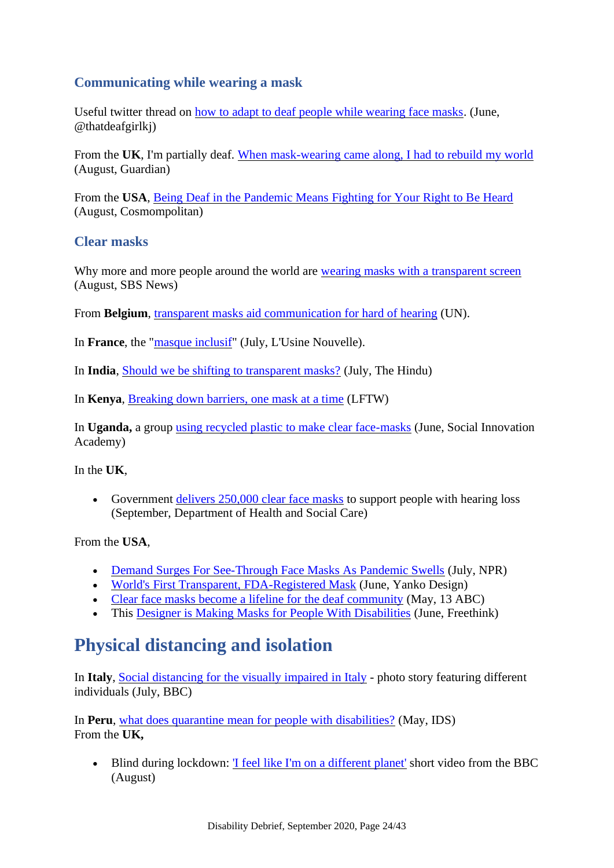### **Communicating while wearing a mask**

Useful twitter thread on [how to adapt to deaf people while wearing face masks.](https://twitter.com/thatdeafgirlkj/status/1269316958786371585) (June, @thatdeafgirlkj)

From the **UK**, I'm partially deaf. [When mask-wearing came along, I had to rebuild my world](https://www.theguardian.com/society/2020/aug/20/deaf-people-mask-wearing-lipreading) (August, Guardian)

From the **USA**, [Being Deaf in the Pandemic Means Fighting for Your Right to Be Heard](https://www.cosmopolitan.com/politics/a33522127/deaf-coronavirus-clear-masks/) (August, Cosmompolitan)

#### **Clear masks**

Why more and more people around the world are [wearing masks with a transparent screen](https://www.sbs.com.au/news/why-more-and-more-people-around-the-world-are-wearing-masks-with-a-transparent-screen) (August, SBS News)

From **Belgium**, [transparent masks aid communication for hard of hearing](https://www.un.org/en/coronavirus/transparent-masks-aid-communication-hard-hearing) (UN).

In **France**, the ["masque inclusif"](https://www.usinenouvelle.com/editorial/made-in-france-le-masque-inclusif-pour-les-sourds-et-malentendants.N986624) (July, L'Usine Nouvelle).

In **India**, [Should we be shifting to transparent masks?](https://www.thehindu.com/sci-tech/health/should-we-switch-to-transparent-masks/article32079535.ece) (July, The Hindu)

In **Kenya**, [Breaking down barriers, one mask at a time](https://www.light-for-the-world.org/breaking-down-barriers-one-mask-time) (LFTW)

In **Uganda,** a group [using recycled plastic to make clear face-masks](https://socialinnovationacademy.org/kimuli-fashionability-on-cgtn-africa/) (June, Social Innovation Academy)

In the **UK**,

• Government [delivers 250,000 clear face masks](https://www.gov.uk/government/news/government-delivers-250000-clear-face-masks-to-support-people-with-hearing-loss) to support people with hearing loss (September, Department of Health and Social Care)

From the **USA**,

- [Demand Surges For See-Through Face Masks As Pandemic Swells](https://www.npr.org/sections/health-shots/2020/07/28/893071631/demand-surges-for-see-through-face-masks-as-pandemic-swells) (July, NPR)
- [World's First Transparent, FDA-Registered Mask](https://www.yankodesign.com/2020/06/27/worlds-first-transparent-fda-registered-n99-smart-mask-with-uv-c-sterilizing-that-shows-off-your-smile/) (June, Yanko Design)
- [Clear face masks become a lifeline for the deaf community](https://www.13abc.com/content/news/Clear-face-masks-are-a-life-line-for-the-deaf-community--570644311.html) (May, 13 ABC)
- This [Designer is Making Masks for People With Disabilities](https://www.freethink.com/articles/masks-for-people-with-disabilities) (June, Freethink)

## <span id="page-23-0"></span>**Physical distancing and isolation**

In **Italy**, [Social distancing for the visually impaired in Italy](https://www.bbc.co.uk/news/in-pictures-53403780) - photo story featuring different individuals (July, BBC)

In **Peru**, [what does quarantine mean for people with disabilities?](https://www.ids.ac.uk/opinions/covid-19-and-quarantine-in-peru-what-does-this-mean-for-people-with-disabilities/?utm_campaign=News%20at%20IDS%2029%20May%202020&utm_source=emailCampaign&utm_content=&utm_medium=email) (May, IDS) From the **UK,**

• Blind during lockdown: ['I feel like I'm on a different planet'](https://www.bbc.co.uk/news/av/uk-scotland-53877366) short video from the BBC (August)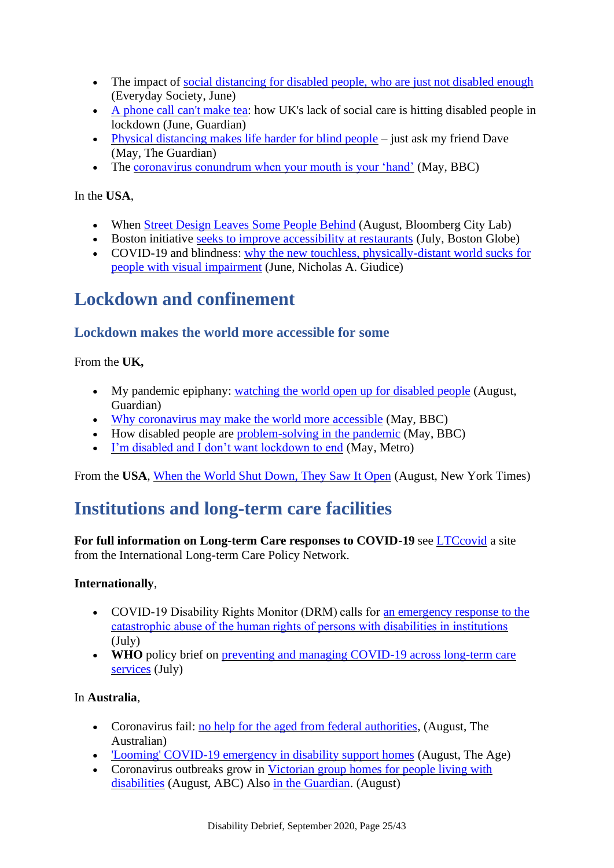- The impact of [social distancing for disabled people, who are just not disabled enough](https://es.britsoc.co.uk/the-impact-of-social-distancing-for-disabled-people-who-are-just-not-disabled-enough/) (Everyday Society, June)
- [A phone call can't make tea:](https://www.theguardian.com/society/2020/jun/30/a-phone-call-cant-make-tea-how-uks-lack-of-social-care-is-hitting-disabled-people-in-lockdown) how UK's lack of social care is hitting disabled people in lockdown (June, Guardian)
- [Physical distancing makes life harder for blind people](https://www.theguardian.com/commentisfree/2020/may/27/physical-distancing-makes-life-harder-for-blind-people-just-ask-my-friend-dave) just ask my friend Dave (May, The Guardian)
- The [coronavirus conundrum when your mouth is your 'hand'](https://www.bbc.com/news/disability-52402482) (May, BBC)

In the **USA**,

- When [Street Design Leaves Some People Behind](https://www.bloomberg.com/news/articles/2020-08-13/do-bike-lanes-have-an-accessibility-problem) (August, Bloomberg City Lab)
- Boston initiative [seeks to improve accessibility at restaurants](https://www.bostonglobe.com/2020/07/10/business/boston-initiative-seeks-improve-accessibility-restaurants/) (July, Boston Globe)
- COVID-19 and blindness: why the new touchless, physically-distant world sucks for [people with visual impairment](https://medium.com/@nicholas.giudice/covid-19-and-blindness-why-the-new-touchless-physically-distant-world-sucks-for-people-with-2c8dbd21de63) (June, Nicholas A. Giudice)

## <span id="page-24-0"></span>**Lockdown and confinement**

#### **Lockdown makes the world more accessible for some**

From the **UK,** 

- My pandemic epiphany: [watching the world open up for disabled people](https://www.theguardian.com/lifeandstyle/2020/aug/14/my-pandemic-epiphany-watching-the-world-open-up-for-disabled-people) (August, Guardian)
- [Why coronavirus may make the world more accessible](https://www.bbc.com/future/article/20200513-why-the-coronavirus-can-make-the-world-more-accessible) (May, BBC)
- How disabled people are [problem-solving in the pandemic](https://www.bbc.co.uk/news/disability-52369053) (May, BBC)
- [I'm disabled and I don't want lockdown to end](https://metro.co.uk/2020/05/30/disabled-dont-want-lockdown-end-12725653/?ito=article.amp.share.top.twitter) (May, Metro)

<span id="page-24-1"></span>From the **USA**, [When the World Shut Down, They Saw It Open](https://www.nytimes.com/2020/08/24/style/disability-accessibility-coronavirus.html) (August, New York Times)

### **Institutions and long-term care facilities**

**For full information on Long-term Care responses to COVID-19** see [LTCcovid](https://ltccovid.org/) a site from the International Long-term Care Policy Network.

#### **Internationally**,

- COVID-19 Disability Rights Monitor (DRM) calls for an emergency response to the [catastrophic abuse of the human rights of persons with disabilities in institutions](https://covid-drm.org/en/statements/emergency-response) (July)
- **WHO** policy brief on preventing and managing COVID-19 across long-term care [services](https://www.who.int/publications/i/item/WHO-2019-nCoV-Policy_Brief-Long-term_Care-2020.1) (July)

In **Australia**,

- Coronavirus fail: [no help for the aged from federal authorities,](https://www.theaustralian.com.au/nation/politics/coronavirus-federal-government-and-aged-care-regulator-had-no-covid-plan-commission-hears/news-story/8fdd5902d672012553fce868efab2ca6) (August, The Australian)
- ['Looming' COVID-19 emergency in disability support homes](https://www.theage.com.au/national/victoria/looming-covid-19-emergency-in-disability-support-homes-20200730-p55h4a.html) (August, The Age)
- Coronavirus outbreaks grow in Victorian group homes for people living with [disabilities](https://www.abc.net.au/news/2020-08-07/fears-coronavirus-spreading-disability-group-home-care-victoria/12535692) (August, ABC) Also [in the Guardian.](https://www.theguardian.com/australia-news/2020/aug/16/victoria-calls-on-federal-help-to-contain-covid-19-outbreaks-in-residential-disability-care) (August)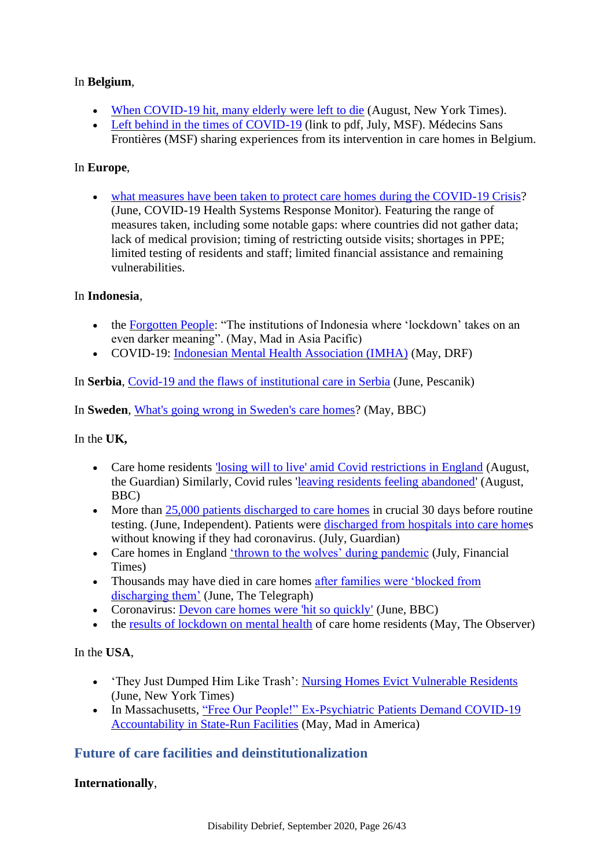#### In **Belgium**,

- When [COVID-19 hit, many elderly were left to die](https://www.nytimes.com/2020/08/08/world/europe/coronavirus-nursing-homes-elderly.html) (August, New York Times).
- [Left behind in the times of COVID-19](https://www.msf.org/sites/msf.org/files/2020-07/Left%20behind%20-%20MSF%20care%20homes%20in%20Belgium%20report.pdf) (link to pdf, July, MSF). Médecins Sans Frontières (MSF) sharing experiences from its intervention in care homes in Belgium.

#### In **Europe**,

• [what measures have been taken to protect care homes during the COVID-19 Crisis?](https://analysis.covid19healthsystem.org/index.php/2020/06/08/what-measures-have-been-taken-to-protect-care-homes-during-the-covid-19-crisis/) (June, COVID-19 Health Systems Response Monitor). Featuring the range of measures taken, including some notable gaps: where countries did not gather data; lack of medical provision; timing of restricting outside visits; shortages in PPE; limited testing of residents and staff; limited financial assistance and remaining vulnerabilities.

#### In **Indonesia**,

- the [Forgotten People:](https://madinasia.org/2020/05/the-forgotten-people/) "The institutions of Indonesia where 'lockdown' takes on an even darker meaning". (May, Mad in Asia Pacific)
- COVID-19: [Indonesian Mental Health Association \(IMHA\)](https://disabilityrightsfund.org/covid-19-indonesian-mental-health-association-imha/) (May, DRF)

In **Serbia**, [Covid-19 and the flaws of institutional care in Serbia](https://pescanik.net/covid-19-and-the-flaws-of-institutional-care-in-serbia/) (June, Pescanik)

In **Sweden**, [What's going wrong in Sweden's care homes?](https://www.bbc.co.uk/news/world-europe-52704836) (May, BBC)

In the **UK,** 

- Care home residents ['losing will to live' amid Covid restrictions in England](https://www.theguardian.com/society/2020/aug/12/care-home-residents-losing-will-to-live-amid-covid-restrictions-in-england) (August, the Guardian) Similarly, Covid rules ['leaving residents feeling abandoned'](https://www.bbc.co.uk/news/uk-england-merseyside-53750623) (August, BBC)
- More than [25,000 patients discharged to care homes](https://www.independent.co.uk/news/health/coronavirus-care-homes-nhs-hospital-discharges-deaths-a9544671.html) in crucial 30 days before routine testing. (June, Independent). Patients were [discharged from hospitals into care homes](https://www.theguardian.com/world/2020/jul/29/coronavirus-english-care-homes-policy-reckless-mps-say?CMP=share_btn_tw) without knowing if they had coronavirus. (July, Guardian)
- Care homes in England ['thrown to the wolves' during pandemic](https://www.ft.com/content/63cbb7fe-e27c-4d69-a743-c109bc6136b2) (July, Financial Times)
- Thousands may have died in care homes after families were 'blocked from [discharging them'](https://www.telegraph.co.uk/money/consumer-affairs/thousands-may-have-died-care-homes-families-blocked-discharging/) (June, The Telegraph)
- Coronavirus: [Devon care homes were 'hit so quickly'](https://www.bbc.com/news/uk-england-52825797) (June, BBC)
- the [results of lockdown on mental health](https://www.theguardian.com/society/2020/may/30/calls-to-lift-lockdown-in-uk-care-homes-over-fears-for-residents-mental-health) of care home residents (May, The Observer)

In the **USA**,

- 'They Just Dumped Him Like Trash': [Nursing Homes Evict Vulnerable Residents](https://www.nytimes.com/2020/06/21/business/nursing-homes-evictions-discharges-coronavirus.html) (June, New York Times)
- In Massachusetts, "Free Our People!" Ex-Psychiatric Patients Demand COVID-19 [Accountability in State-Run Facilities](https://www.madinamerica.com/2020/05/free-our-people-ex-psychiatric-patients-demand-covid-19-accountabilityy-in-state-run-facilities/) (May, Mad in America)

### **Future of care facilities and deinstitutionalization**

#### **Internationally**,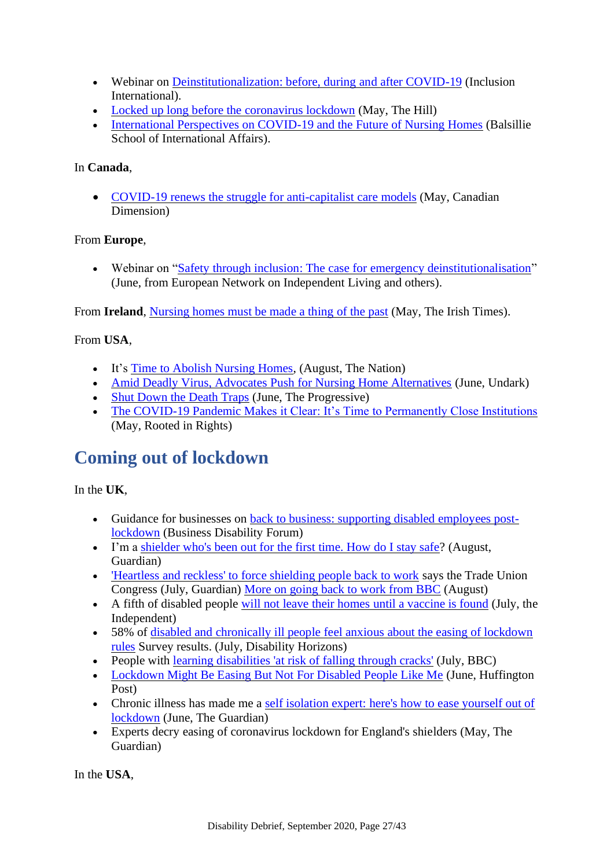- Webinar on [Deinstitutionalization: before, during and after COVID-19](https://inclusioninternational.cmail19.com/t/ViewEmail/t/4A444736E40AD0D82540EF23F30FEDED/0E4326820B03C5D4F7E8006BBCB98688) (Inclusion International).
- [Locked up long before the coronavirus lockdown](https://thehill.com/opinion/civil-rights/497300-locked-up-long-before-the-coronavirus-lockdown) (May, The Hill)
- [International Perspectives on COVID-19 and the Future of Nursing Homes](https://www.balsillieschool.ca/the-long-term-care-pandemic-international-perspectives-on-covid-19-and-the-future-of-nursing-homes/) (Balsillie) School of International Affairs).

#### In **Canada**,

• [COVID-19 renews the struggle for anti-capitalist care](https://canadiandimension.com/articles/view/covid-19-renews-the-struggle-for-anti-capitalist-care-models) models (May, Canadian Dimension)

#### From **Europe**,

• Webinar on ["Safety through inclusion: The case for emergency deinstitutionalisation"](https://enil.eu/events/webinar-safety-through-inclusion-the-case-for-emergency-deinstitutionalisation/) (June, from European Network on Independent Living and others).

From **Ireland**, [Nursing homes must be made a thing of the past](https://www.irishtimes.com/opinion/nursing-homes-must-be-made-a-thing-of-the-past-1.4257422) (May, The Irish Times).

#### From **USA**,

- It's [Time to Abolish Nursing Homes,](https://www.thenation.com/article/society/abolish-nursing-homes/) (August, The Nation)
- [Amid Deadly Virus, Advocates Push for Nursing Home Alternatives](https://undark.org/2020/06/19/covid-19-nursing-home-alternatives/) (June, Undark)
- [Shut Down the Death Traps](https://progressive.org/magazine/shut-down-the-death-traps-ervin-200604) (June, The Progressive)
- [The COVID-19 Pandemic Makes it Clear: It's Time to Permanently Close Institutions](https://rootedinrights.org/the-covid-19-pandemic-makes-it-clear-its-time-to-permanently-close-institutions/) (May, Rooted in Rights)

## <span id="page-26-0"></span>**Coming out of lockdown**

### In the **UK**,

- Guidance for businesses on [back to business: supporting disabled employees post](https://businessdisabilityforum.org.uk/covid-19/back-to-business-considerations-for-employers-supporting-disabled-employees-post-lockdown/)[lockdown](https://businessdisabilityforum.org.uk/covid-19/back-to-business-considerations-for-employers-supporting-disabled-employees-post-lockdown/) (Business Disability Forum)
- I'm a [shielder who's been out for the first time. How do I stay safe?](https://www.theguardian.com/world/2020/aug/11/im-a-shielder-out-first-time-how-stay-safe-rules-relaxed-england-shops-beach) (August, Guardian)
- Heartless and reckless' to force shielding people back to work says the Trade Union Congress (July, Guardian) [More on going back to work from BBC](https://www.bbc.co.uk/news/business-53826719) (August)
- A fifth of disabled people will not [leave their homes until a vaccine is found](https://www.independent.co.uk/life-style/health-and-families/disability-coronavirus-leave-home-vaccine-safe-shielding-august-lockdown-a9621871.html) (July, the Independent)
- 58% of disabled and chronically ill people [feel anxious about the easing of lockdown](https://disabilityhorizons.com/2020/07/58-of-disabled-and-chronically-ill-people-feel-anxious-about-the-easing-of-lockdown-rules/)  [rules](https://disabilityhorizons.com/2020/07/58-of-disabled-and-chronically-ill-people-feel-anxious-about-the-easing-of-lockdown-rules/) Survey results. (July, Disability Horizons)
- People with [learning disabilities 'at risk of falling through cracks'](https://www.bbc.co.uk/news/av/uk-53491522) (July, BBC)
- [Lockdown Might Be Easing But Not For Disabled People Like Me](https://www.huffingtonpost.co.uk/entry/lockdown-shielding-disabled_uk_5ed4c466c5b639370b5cfc4b) (June, Huffington Post)
- Chronic illness has made me a self isolation expert: here's how to ease yourself out of [lockdown](https://www.theguardian.com/lifeandstyle/2020/jun/02/isolation-is-hard-going-but-then-so-is-escaping-it-how-to-ease-your-way-out-of-lockdown) (June, The Guardian)
- Experts decry easing of coronavirus lockdown for England's shielders (May, The Guardian)

In the **USA**,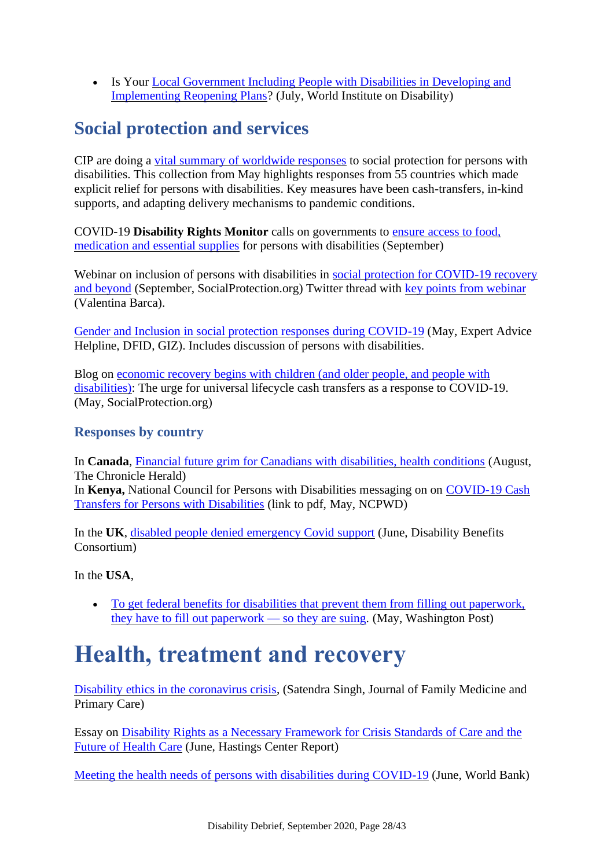• Is Your Local Government Including People with Disabilities in Developing and [Implementing Reopening Plans?](https://wid.org/2020/07/22/is-your-local-government-including-people-with-disabilities-in-developing-and-implementing-reopening-plans/) (July, World Institute on Disability)

# <span id="page-27-0"></span>**Social protection and services**

CIP are doing a [vital summary of worldwide responses](https://inclusive-policy.org/2020/05/22/an-initial-overview-of-specific-social-protection-measures-for-persons-with-disabilities-and-their-families-in-response-to-covid-19-crisis/) to social protection for persons with disabilities. This collection from May highlights responses from 55 countries which made explicit relief for persons with disabilities. Key measures have been cash-transfers, in-kind supports, and adapting delivery mechanisms to pandemic conditions.

COVID-19 **Disability Rights Monitor** calls on governments to [ensure access to food,](https://covid-drm.org/en/statements/covid-19-disability-rights-monitor-calls-on-governments-to-ensure-access-to-food-medication-and-essential-supplies-for-persons-with-disabilities)  [medication and essential supplies](https://covid-drm.org/en/statements/covid-19-disability-rights-monitor-calls-on-governments-to-ensure-access-to-food-medication-and-essential-supplies-for-persons-with-disabilities) for persons with disabilities (September)

Webinar on inclusion of persons with disabilities in social protection for COVID-19 recovery [and beyond](https://socialprotection.org/inclusion-persons-disabilities-social-protection-covid-19-recovery-and-beyond) (September, SocialProtection.org) Twitter thread with [key points from webinar](https://twitter.com/ValentinaBarca_/status/1302719054365560833) (Valentina Barca).

[Gender and Inclusion in social protection responses during COVID-19](https://socialprotection.org/discover/publications/gender-and-inclusion-social-protection-responses-during-covid-19) (May, Expert Advice Helpline, DFID, GIZ). Includes discussion of persons with disabilities.

Blog on [economic recovery begins with children \(and older people, and people with](https://www.socialprotection.org/discover/blog/economic-recovery-begins-children-and-older-people-and-people-disabilities-urge)  [disabilities\):](https://www.socialprotection.org/discover/blog/economic-recovery-begins-children-and-older-people-and-people-disabilities-urge) The urge for universal lifecycle cash transfers as a response to COVID-19. (May, SocialProtection.org)

### **Responses by country**

In **Canada**, [Financial future grim for Canadians with disabilities, health conditions](https://www.thechronicleherald.ca/opinion/national-perspectives/covid-19-financial-future-grim-for-canadians-with-disabilities-health-conditions-483509) (August, The Chronicle Herald) In **Kenya,** National Council for Persons with Disabilities messaging on on [COVID-19 Cash](http://www.ncpwd.go.ke/images/KEY_MESSAGES_COVID_19_CASH_TRANSFER_FOR_PWDs.pdf)  [Transfers for Persons with Disabilities](http://www.ncpwd.go.ke/images/KEY_MESSAGES_COVID_19_CASH_TRANSFER_FOR_PWDs.pdf) (link to pdf, May, NCPWD)

In the **UK**, [disabled people denied emergency Covid support](https://disabilitybenefitsconsortium.wordpress.com/campaign-news/) (June, Disability Benefits Consortium)

In the **USA**,

• To get federal benefits for disabilities that prevent them from filling out paperwork. [they have to fill out paperwork —](https://www.washingtonpost.com/local/to-get-federal-benefits-for-disabilities-that-prevent-them-from-filling-out-paperwork-they-have-to-fill-out-paperwork--so-they-are-suing/2020/05/06/314a2200-8fc8-11ea-9e23-6914ee410a5f_story.html) so they are suing. (May, Washington Post)

# <span id="page-27-1"></span>**Health, treatment and recovery**

[Disability ethics in the coronavirus crisis,](http://www.jfmpc.com/article.asp?issn=2249-4863;year=2020;volume=9;issue=5;spage=2167;epage=2171;aulast=Singh) (Satendra Singh, Journal of Family Medicine and Primary Care)

Essay on [Disability Rights as a Necessary Framework for Crisis Standards of Care and the](https://onlinelibrary.wiley.com/doi/10.1002/hast.1128)  [Future of Health Care](https://onlinelibrary.wiley.com/doi/10.1002/hast.1128) (June, Hastings Center Report)

[Meeting the health needs of persons with disabilities during COVID-19](https://blogs.worldbank.org/health/meeting-health-needs-persons-disabilities-during-covid-19-coronavirus) (June, World Bank)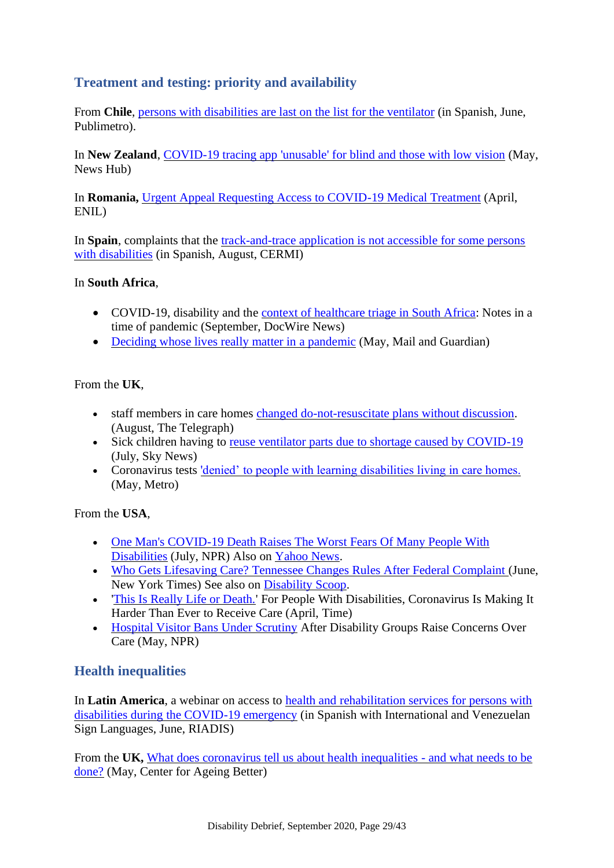### **Treatment and testing: priority and availability**

From **Chile**, [persons with disabilities are last on the list for the ventilator](https://www.publimetro.cl/cl/noticias/2020/06/05/coronavirus-personas-discapacidad.html) (in Spanish, June, Publimetro).

In **New Zealand**, [COVID-19 tracing app 'unusable' for blind and those with low vision](https://www.newshub.co.nz/home/new-zealand/2020/05/covid-19-tracing-app-unusable-for-blind-and-those-with-low-vision.html) (May, News Hub)

In **Romania,** [Urgent Appeal Requesting Access to COVID-19 Medical Treatment](https://enil.eu/news/urgent-appeal-requesting-access-to-medical-care-in-romania/) (April, ENIL)

In **Spain**, complaints that the [track-and-trace application is not accessible for some persons](https://www.cermi.es/es/actualidad/noticias/el-cermi-denuncia-la-falta-de-accesibilidad-de-la-aplicaci%C3%B3n-radar-covid)  [with disabilities](https://www.cermi.es/es/actualidad/noticias/el-cermi-denuncia-la-falta-de-accesibilidad-de-la-aplicaci%C3%B3n-radar-covid) (in Spanish, August, CERMI)

#### In **South Africa**,

- COVID-19, disability and the [context of healthcare triage in South Africa:](https://www.docwirenews.com/abstracts/covid-19-disability-and-the-context-of-healthcare-triage-in-south-africa-notes-in-a-time-of-pandemic/) Notes in a time of pandemic (September, DocWire News)
- [Deciding whose lives really matter in a pandemic](https://mg.co.za/coronavirus-essentials/2020-05-14-deciding-whose-lives-really-matter-in-a-pandemic/) (May, Mail and Guardian)

#### From the **UK**,

- staff members in care homes [changed do-not-resuscitate](https://www.telegraph.co.uk/news/2020/08/23/care-homes-asked-place-blanket-do-not-resuscitate-orders-residents/) plans without discussion. (August, The Telegraph)
- Sick children having to [reuse ventilator parts due to shortage caused by COVID-19](https://news.sky.com/story/sick-children-having-to-reuse-ventilator-parts-due-to-shortage-caused-by-covid-19-12026632) (July, Sky News)
- Coronavirus tests ['denied' to people with learning disabilities living in care homes.](https://metro.co.uk/2020/05/18/coronavirus-tests-denied-people-learning-disabilities-living-care-homes-12723372/) (May, Metro)

From the **USA**,

- One Man's COVID-19 Death Raises The Worst Fears Of Many People With [Disabilities](https://www.npr.org/2020/07/31/896882268/one-mans-covid-19-death-raises-the-worst-fears-of-many-people-with-disabilities) (July, NPR) Also on [Yahoo News.](https://www.yahoo.com/lifestyle/black-disabled-man-dies-covid-211359137.html)
- [Who Gets Lifesaving Care? Tennessee Changes Rules After Federal Complaint \(](https://www.nytimes.com/2020/06/26/us/coronavirus-rationing-tennessee.html?smid=tw-share)June, New York Times) See also on [Disability Scoop.](https://www.disabilityscoop.com/2020/07/09/protections-affirmed-disabilities-pandemic/28569/)
- ['This Is Really Life or Death.'](https://time.com/5826098/coronavirus-people-with-disabilities/) For People With Disabilities, Coronavirus Is Making It Harder Than Ever to Receive Care (April, Time)
- [Hospital Visitor Bans Under Scrutiny](https://www.npr.org/2020/05/17/857531789/federal-government-asked-to-tell-hospitals-modify-visit-bans) After Disability Groups Raise Concerns Over Care (May, NPR)

### **Health inequalities**

In **Latin America**, a webinar on access to [health and rehabilitation services for persons with](https://www.facebook.com/187279918093128/videos/264088464854405/)  [disabilities during the COVID-19 emergency](https://www.facebook.com/187279918093128/videos/264088464854405/) (in Spanish with International and Venezuelan Sign Languages, June, RIADIS)

From the **UK,** [What does coronavirus tell us about health inequalities -](https://www.ageing-better.org.uk/blogs/what-does-coronavirus-tell-us-about-health-inequalities-and-what-needs-be-done) and what needs to be [done?](https://www.ageing-better.org.uk/blogs/what-does-coronavirus-tell-us-about-health-inequalities-and-what-needs-be-done) (May, Center for Ageing Better)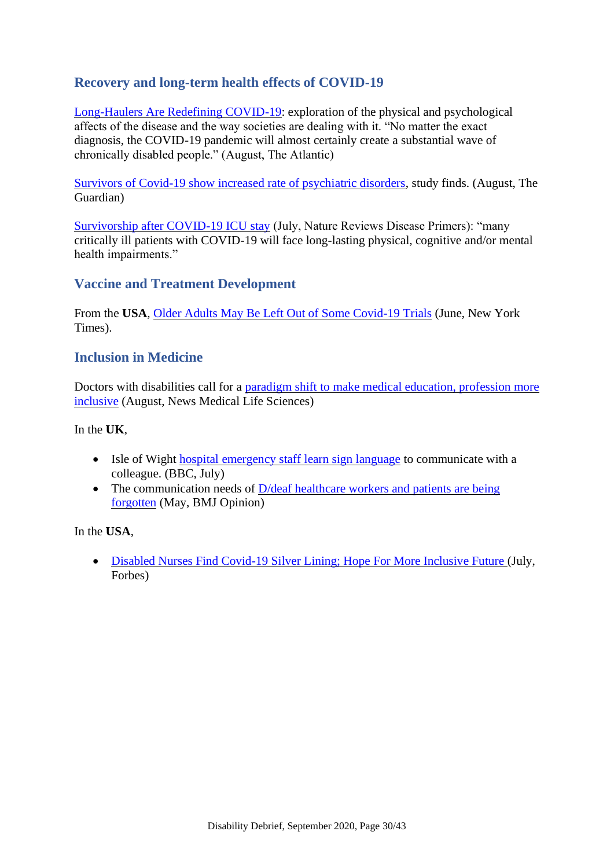### **Recovery and long-term health effects of COVID-19**

[Long-Haulers Are Redefining COVID-19:](https://www.theatlantic.com/health/archive/2020/08/long-haulers-covid-19-recognition-support-groups-symptoms/615382/) exploration of the physical and psychological affects of the disease and the way societies are dealing with it. "No matter the exact diagnosis, the COVID-19 pandemic will almost certainly create a substantial wave of chronically disabled people." (August, The Atlantic)

Survivors of [Covid-19 show increased rate of psychiatric disorders,](https://www.theguardian.com/world/2020/aug/03/survivors-of-covid-19-show-increased-rate-of-psychiatric-disorders-study-finds) study finds. (August, The Guardian)

[Survivorship after COVID-19 ICU stay](https://www.nature.com/articles/s41572-020-0201-1) (July, Nature Reviews Disease Primers): "many critically ill patients with COVID-19 will face long-lasting physical, cognitive and/or mental health impairments."

#### **Vaccine and Treatment Development**

From the **USA**, [Older Adults May Be Left Out of Some Covid-19 Trials](https://www.nytimes.com/2020/06/19/health/vaccine-trials-elderly.html?referringSource=articleShare) (June, New York Times).

#### **Inclusion in Medicine**

Doctors with disabilities call for a paradigm shift to make medical education, profession more [inclusive](https://www.news-medical.net/news/20200821/Doctors-with-disabilities-call-for-a-paradigm-shift-to-make-medical-education-profession-more-inclusive.aspx) (August, News Medical Life Sciences)

#### In the **UK**,

- Isle of Wight [hospital emergency staff learn sign language](https://www.bbc.co.uk/news/av/uk-england-hampshire-53406594) to communicate with a colleague. (BBC, July)
- The communication needs of D/deaf healthcare workers and patients are being [forgotten](https://blogs.bmj.com/bmj/2020/05/07/push-universal-mask-wearing-communication-needs-deaf-forgotten/) (May, BMJ Opinion)

In the **USA**,

• [Disabled Nurses Find Covid-19 Silver Lining; Hope For More Inclusive Future \(](https://www.forbes.com/sites/allisonnorlian/2020/07/29/disabled-nurses-find-covid-19-silver-lining-hope-for-more-inclusive-future/#f658e9d75134)July, Forbes)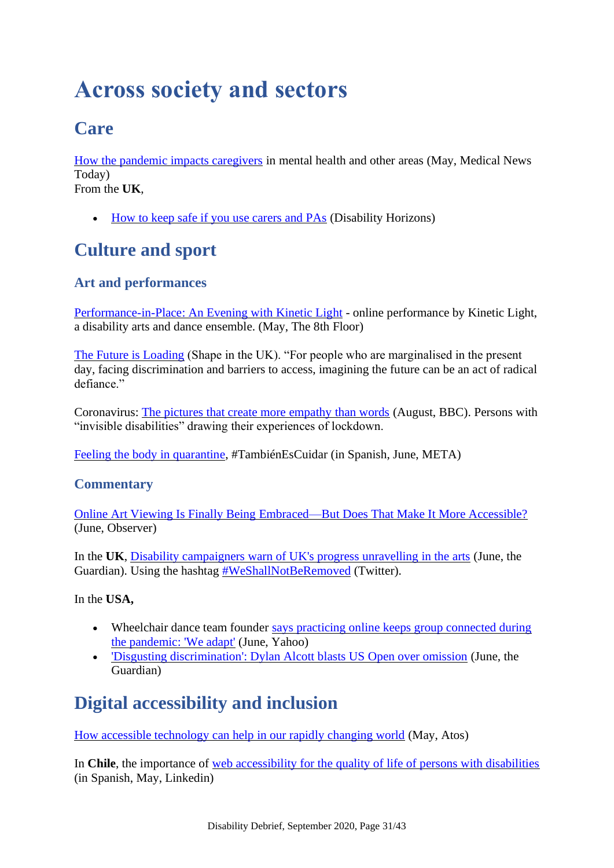# <span id="page-30-0"></span>**Across society and sectors**

# <span id="page-30-1"></span>**Care**

[How the pandemic impacts caregivers](https://www.medicalnewstoday.com/articles/heightened-challenges-how-the-pandemic-impacts-caregivers) in mental health and other areas (May, Medical News Today) From the **UK**,

• [How to keep safe if you use carers and PAs](https://disabilityhorizons.com/2020/06/coronavirus-how-to-keep-safe-if-you-use-carers-and-pas/) (Disability Horizons)

# <span id="page-30-2"></span>**Culture and sport**

### **Art and performances**

[Performance-in-Place: An Evening with Kinetic Light](https://www.the8thfloor.org/past-events-01/2020/5/18/performance-in-place-kinetic-light) - online performance by Kinetic Light, a disability arts and dance ensemble. (May, The 8th Floor)

[The Future is Loading](https://www.shapearts.org.uk/News/the-future-is-loading-about-the-exhibition) (Shape in the UK). "For people who are marginalised in the present day, facing discrimination and barriers to access, imagining the future can be an act of radical defiance."

Coronavirus: [The pictures that create more empathy than words](https://www.bbc.co.uk/news/disability-53863014) (August, BBC). Persons with "invisible disabilities" drawing their experiences of lockdown.

[Feeling the body in quarantine,](https://metajuvenil.wordpress.com/2020/06/30/tambienescuidar-sentir-el-cuerpo-en-cuarentena/) #TambiénEsCuidar (in Spanish, June, META)

### **Commentary**

[Online Art Viewing Is Finally Being Embraced—But Does That Make It More Accessible?](https://observer.com/2020/06/online-art-viewing-exhibitions-accessibility-barriers/) (June, Observer)

In the **UK**, [Disability campaigners warn of UK's progress unravelling in the arts](https://www.theguardian.com/culture/2020/jun/19/disability-campaigners-warn-of-uks-progress-unravelling-in-the-arts) (June, the Guardian). Using the hashtag [#WeShallNotBeRemoved](https://twitter.com/hashtag/weshallnotberemoved?ref_src=twsrc%5Egoogle%7Ctwcamp%5Eserp%7Ctwgr%5Ehashtag) (Twitter).

In the **USA,**

- Wheelchair dance team founder says practicing online keeps group connected during [the pandemic: 'We adapt'](https://www.yahoo.com/lifestyle/wheelchair-dance-team-founder-shares-how-going-virtual-has-helped-her-team-continue-to-reach-their-goals-203847172.html) (June, Yahoo)
- ['Disgusting discrimination': Dylan Alcott blasts US Open over omission](https://www.theguardian.com/sport/2020/jun/18/disgusting-discrimination-dylan-alcott-blasts-us-open-over-omission) (June, the Guardian)

# <span id="page-30-3"></span>**Digital accessibility and inclusion**

[How accessible technology can help in our rapidly changing world](https://atos.net/en/blog/how-accessible-technology-can-help-in-our-rapidly-changing-world) (May, Atos)

In **Chile**, the importance of [web accessibility for the quality of life of persons with disabilities](https://www.linkedin.com/pulse/la-trascendencia-de-accesibilidad-web-en-calidad-vida-san-mart%25C3%25ADn/) (in Spanish, May, Linkedin)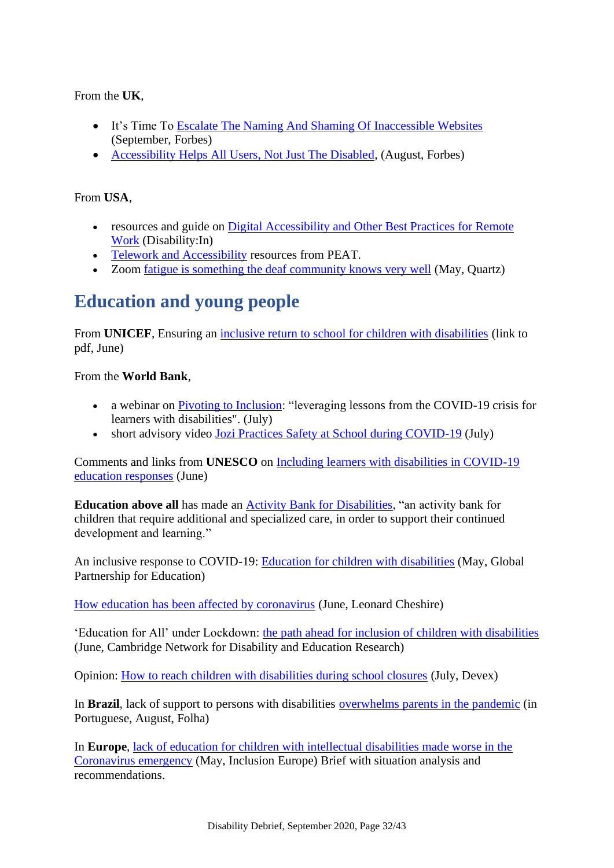From the **UK**,

- It's Time To [Escalate The Naming And Shaming Of Inaccessible Websites](https://www.forbes.com/sites/gusalexiou/2020/09/28/its-time-to-escalate-the-naming-and-shaming-of-inaccessible-websites/#b943047196b8) (September, Forbes)
- [Accessibility Helps All Users, Not Just The Disabled,](https://www.forbes.com/sites/gusalexiou/2020/08/23/covid-reminds-us-that-web-accessibility-helps-all-users-not-just-the-disabled/#94ca3b16df14) (August, Forbes)

#### From **USA**,

- resources and guide on Digital Accessibility and Other Best Practices for Remote [Work](https://disabilityin.org/resource/covid-19-response-accessible-tools-and-content/) (Disability:In)
- [Telework and Accessibility](https://peatworks.org/digital-accessibility-toolkits/telework-and-accessibility/) resources from PEAT.
- Zoom [fatigue is something the deaf community knows very well](https://qz.com/1855404/zoom-fatigue-is-something-the-deaf-community-knows-very-well/) (May, Quartz)

## <span id="page-31-0"></span>**Education and young people**

From **UNICEF**, Ensuring an [inclusive return to school for children with disabilities](https://reliefweb.int/sites/reliefweb.int/files/resources/Ensuring%20an%20inclusive%20return%20to%20school%20for%20children%20with%20disabilities%20-%20UNICEF%20East%20Asia%20and%20Pacific%20Region%20COVID-19%20technical%20guidance.pdf) (link to pdf, June)

From the **World Bank**,

- a webinar on [Pivoting to Inclusion:](https://live.worldbank.org/lessons-from-covid19-for-inclusive-education) "leveraging lessons from the COVID-19 crisis for learners with disabilities". (July)
- short advisory video [Jozi Practices Safety at School during COVID-19](https://www.worldbank.org/en/news/video/2020/07/27/jozi-practices-safety-at-school-during-covid-19) (July)

Comments and links from **UNESCO** on [Including learners with disabilities in COVID-19](https://en.unesco.org/news/including-learners-disabilities-covid-19-education-responses)  [education responses](https://en.unesco.org/news/including-learners-disabilities-covid-19-education-responses) (June)

**Education above all** has made an [Activity Bank for Disabilities,](https://resources.educationaboveall.org/activity-bank-disabilities) "an activity bank for children that require additional and specialized care, in order to support their continued development and learning."

An inclusive response to COVID-19: [Education for children with disabilities](https://www.globalpartnership.org/blog/inclusive-response-covid-19-education-children-disabilities) (May, Global Partnership for Education)

[How education has been affected by coronavirus](https://www.leonardcheshire.org/our-impact/stories/how-education-has-been-affected-coronavirus) (June, Leonard Cheshire)

'Education for All' under Lockdown: [the path ahead for inclusion of children with disabilities](https://canderesearch.wordpress.com/2020/06/09/education-for-all-under-lockdown-the-path-ahead-for-inclusion-of-children-with-disabilities/) (June, Cambridge Network for Disability and Education Research)

Opinion: [How to reach children with disabilities during school closures](https://www.devex.com/news/opinion-how-to-reach-children-with-disabilities-during-school-closures-97742) (July, Devex)

In **Brazil**, lack of support to persons with disabilities [overwhelms parents in the pandemic](https://www1.folha.uol.com.br/treinamento/2020/08/falta-de-apoio-a-pessoas-com-deficiencia-sobrecarrega-pais-na-pandemia.shtml) (in Portuguese, August, Folha)

In **Europe**, [lack of education for children with intellectual disabilities made worse in the](https://www.inclusion-europe.eu/briefing-on-education-coronavirus/)  [Coronavirus emergency](https://www.inclusion-europe.eu/briefing-on-education-coronavirus/) (May, Inclusion Europe) Brief with situation analysis and recommendations.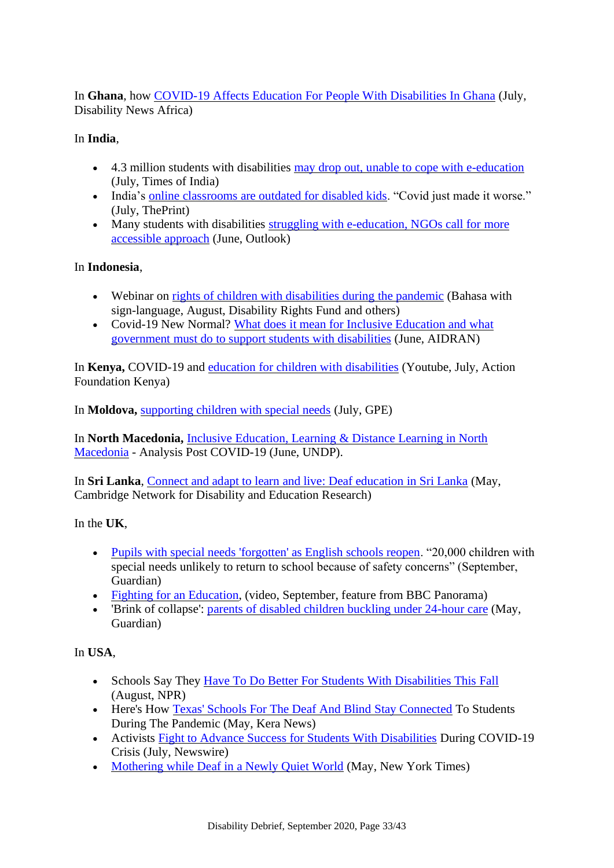In **Ghana**, how [COVID-19 Affects Education For People With Disabilities In Ghana](https://www.disabilitynewsafrica.com/how-covid-19-affects-education-for-people-with-disabilities-in-ghana/) (July, Disability News Africa)

#### In **India**,

- 4.3 million students with disabilities [may drop out, unable to cope with e-education](http://timesofindia.indiatimes.com/articleshow/77169020.cms?utm_source=contentofinterest&utm_medium=text&utm_campaign=cppsthttps://timesofindia.indiatimes.com/home/education/43-lakh-disabled-students-across-states-may-drop-out-unable-to-cope-with-e-education-report/articleshow/77169020.cms) (July, Times of India)
- India's [online classrooms are outdated for disabled kids.](https://theprint.in/opinion/indias-online-classrooms-are-outdated-for-disabled-kids-covid-just-made-it-worse/463438/) "Covid just made it worse." (July, ThePrint)
- Many students with disabilities struggling with e-education, NGOs call for more [accessible approach](https://www.outlookindia.com/newsscroll/many-students-with-disabilities-struggling-with-eeducation-ngos-call-for-more-accessible-approach/1872679) (June, Outlook)

#### In **Indonesia**,

- Webinar on [rights of children with disabilities during the pandemic](https://www.facebook.com/disabilityrightsfund/posts/3158313337594023) (Bahasa with sign-language, August, Disability Rights Fund and others)
- Covid-19 New Normal? What does it mean for Inclusive Education and what [government must do to support students with disabilities](https://aidran.org/2020/06/03/covid-19-new-normal-what-does-it-mean-for-inclusive-education-and-what-government-must-do-to-support-students-with-disabilities/) (June, AIDRAN)

In **Kenya,** COVID-19 and [education for children with disabilities](https://www.youtube.com/watch?v=NvKNPvvgGUg&feature=youtu.be) (Youtube, July, Action Foundation Kenya)

In **Moldova,** [supporting children with special needs](https://www.globalpartnership.org/blog/supporting-children-special-needs-moldova-during-covid-19) (July, GPE)

In **North Macedonia,** [Inclusive Education, Learning & Distance Learning in North](https://www.mk.undp.org/content/north-macedonia/en/home/library/poverty/Inclusive-Education-Learning-And-Distance-Learning.html)  [Macedonia](https://www.mk.undp.org/content/north-macedonia/en/home/library/poverty/Inclusive-Education-Learning-And-Distance-Learning.html) - Analysis Post COVID-19 (June, UNDP).

In **Sri Lanka**, [Connect and adapt to learn and live: Deaf education in Sri Lanka](https://canderesearch.wordpress.com/2020/05/07/connect-and-adapt-to-learn-and-live-deaf-education-in-sri-lanka/) (May, Cambridge Network for Disability and Education Research)

In the **UK**,

- [Pupils with special needs 'forgotten' as English schools reopen.](https://www.theguardian.com/education/2020/sep/04/special-needs-pupils-forgotten-english-schools-reopen) "20,000 children with special needs unlikely to return to school because of safety concerns" (September, Guardian)
- [Fighting for an Education,](https://www.bbc.co.uk/programmes/m000mfns) (video, September, feature from BBC Panorama)
- 'Brink of collapse': [parents of disabled children buckling under 24-hour care](https://www.theguardian.com/society/2020/may/13/parents-disabled-children-buckling-under-24-hour-care-coronavirus) (May, Guardian)

### In **USA**,

- Schools Say They [Have To Do Better For Students With Disabilities This Fall](https://www.npr.org/2020/08/21/902141314/for-students-with-disabilities-schools-say-they-have-to-do-better-in-the-fall)  (August, NPR)
- Here's How [Texas' Schools For The Deaf And Blind Stay Connected](https://www.keranews.org/post/heres-how-texas-schools-deaf-and-blind-stay-connected-students-during-pandemic?utm_source=dlvr.it&utm_medium=wordpress) To Students During The Pandemic (May, Kera News)
- Activists [Fight to Advance Success for Students With Disabilities](https://www.newswire.com/news/activists-fight-to-advance-success-for-students-with-disabilities-21183179) During COVID-19 Crisis (July, Newswire)
- [Mothering while Deaf in a Newly Quiet World](https://www.nytimes.com/2020/05/08/style/modern-love-coronavirus-deaf-motherhood-in-a-quiet-world.html) (May, New York Times)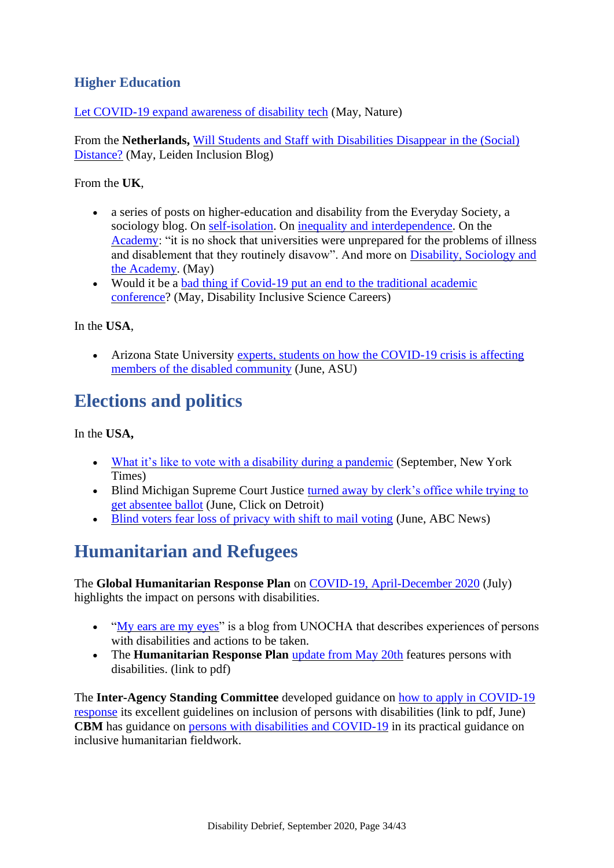### **Higher Education**

[Let COVID-19 expand awareness of disability tech](https://www.nature.com/articles/d41586-020-01312-w) (May, Nature)

From the **Netherlands,** [Will Students and Staff with Disabilities Disappear in the \(Social\)](https://leideninclusionblog.nl/articles/coronavirus-will-students-and-staff-with-disabilities-disappear-in-the-social-distance)  [Distance?](https://leideninclusionblog.nl/articles/coronavirus-will-students-and-staff-with-disabilities-disappear-in-the-social-distance) (May, Leiden Inclusion Blog)

From the **UK**,

- a series of posts on higher-education and disability from the Everyday Society, a sociology blog. On [self-isolation.](https://es.britsoc.co.uk/on-the-personal-self-isolation-disability-and-covid-19/) On [inequality and interdependence.](https://es.britsoc.co.uk/hidden-in-plain-sight-covid-19-inequality-and-interdependency/) On the [Academy:](https://es.britsoc.co.uk/covid-19-and-the-academy/) "it is no shock that universities were unprepared for the problems of illness and disablement that they routinely disavow". And more on [Disability, Sociology and](https://es.britsoc.co.uk/from-the-outside-in-thinking-sociologically-disability-sociology-and-the-academy/)  [the Academy.](https://es.britsoc.co.uk/from-the-outside-in-thinking-sociologically-disability-sociology-and-the-academy/) (May)
- Would it be a bad thing if Covid-19 put an end to the traditional academic [conference?](https://disc.hw.ac.uk/would-it-be-a-bad-thing-if-covid-19-put-an-end-to-the-traditional-academic-conference/) (May, Disability Inclusive Science Careers)

In the **USA**,

• Arizona State University experts, students on how the COVID-19 crisis is affecting [members of the disabled community](https://asunow.asu.edu/20200612-sun-devil-life-living-disability-during-pandemic) (June, ASU)

# <span id="page-33-0"></span>**Elections and politics**

In the **USA,** 

- [What it's like to vote with a disability during a pandemic](https://www.nytimes.com/2020/09/25/us/politics/voting-disability-virus.html) (September, New York Times)
- Blind Michigan Supreme Court Justice turned away by clerk's office while trying to [get absentee ballot](https://www.clickondetroit.com/news/local/2020/06/26/blind-michigan-supreme-court-justice-is-turned-away-by-clerks-office-when-trying-to-get-absentee-ballot/) (June, Click on Detroit)
- [Blind voters fear loss of privacy with shift to mail voting](https://abcnews.go.com/Politics/wireStory/blind-voters-fear-loss-privacy-shift-mail-voting-71244683) (June, ABC News)

# <span id="page-33-1"></span>**Humanitarian and Refugees**

The **Global Humanitarian Response Plan** on [COVID-19, April-December 2020](https://reliefweb.int/report/world/global-humanitarian-response-plan-covid-19-april-december-2020-ghrp-july-update-enar) (July) highlights the impact on persons with disabilities.

- ["My ears are my eyes"](https://medium.com/@UNOCHA/my-ears-are-my-eyes-aef3dbccebf2) is a blog from UNOCHA that describes experiences of persons with disabilities and actions to be taken.
- The **Humanitarian Response Plan** *[update from May 20th](https://reliefweb.int/sites/reliefweb.int/files/resources/GHRP_update_20MAY2020.pdf) features persons with* disabilities. (link to pdf)

The **Inter-Agency Standing Committee** developed guidance on [how to apply in COVID-19](https://interagencystandingcommittee.org/system/files/2020-07/IASC%20Key%20Messages%20on%20Applying%20IASC%20Guidelines%20on%20Disability%20in%20the%20COVID-19%20Response%20%28final%20version%29.pdf)  [response](https://interagencystandingcommittee.org/system/files/2020-07/IASC%20Key%20Messages%20on%20Applying%20IASC%20Guidelines%20on%20Disability%20in%20the%20COVID-19%20Response%20%28final%20version%29.pdf) its excellent guidelines on inclusion of persons with disabilities (link to pdf, June) **CBM** has guidance on [persons with disabilities and COVID-19](https://hhot.cbm.org/en/topic/covid-19) in its practical guidance on inclusive humanitarian fieldwork.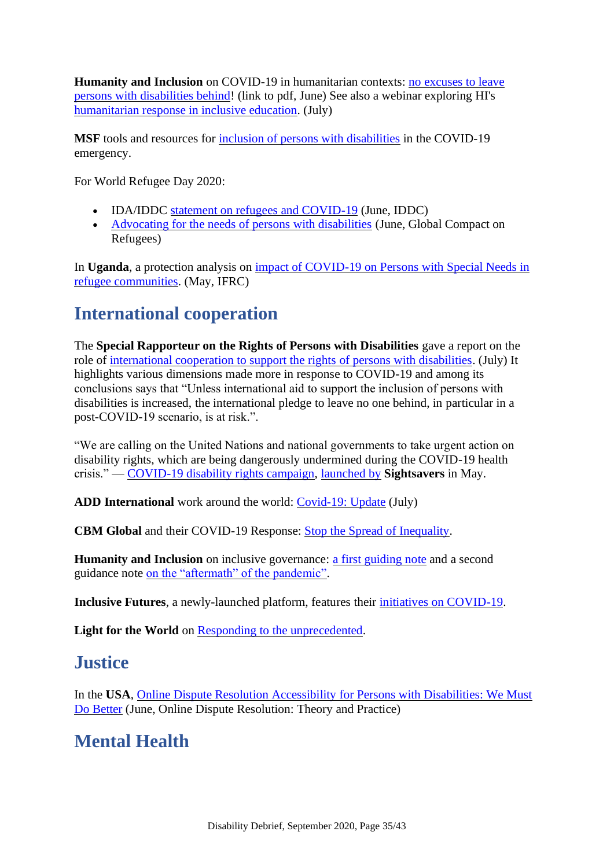**Humanity and Inclusion** on COVID-19 in humanitarian contexts: no excuses to leave [persons with disabilities behind!](https://humanity-inclusion.org.uk/sn_uploads/document/2020-study-en-disability-in-humanitarian-contexts-covid-final.pdf) (link to pdf, June) See also a webinar exploring HI's [humanitarian response in inclusive education.](https://www.crowdcast.io/e/COVID-19-Inclusion-of-persons-with-disabilities/register?session=1) (July)

**MSF** tools and resources for [inclusion of persons with disabilities](https://disabilityinclusion.msf.org/COVID-19.html) in the COVID-19 emergency.

For World Refugee Day 2020:

- IDA/IDDC [statement on refugees and COVID-19](https://www.iddcconsortium.net/blog/ida-iddc-world-refugee-day-2020-statement/) (June, IDDC)
- [Advocating for the needs of persons with disabilities](https://globalcompactrefugees.org/article/advocating-needs-persons-disabilities-world-refugee-day-2020) (June, Global Compact on Refugees)

In **Uganda**, a protection analysis on [impact of COVID-19 on Persons with Special Needs in](https://reliefweb.int/report/uganda/protection-analysis-impact-covid-19-measures-psns-refugee-communities-uganda-may-2020)  [refugee communities.](https://reliefweb.int/report/uganda/protection-analysis-impact-covid-19-measures-psns-refugee-communities-uganda-may-2020) (May, IFRC)

## <span id="page-34-0"></span>**International cooperation**

The **Special Rapporteur on the Rights of Persons with Disabilities** gave a report on the role of [international cooperation to support the rights of persons with disabilities.](https://undocs.org/a/75/186) (July) It highlights various dimensions made more in response to COVID-19 and among its conclusions says that "Unless international aid to support the inclusion of persons with disabilities is increased, the international pledge to leave no one behind, in particular in a post-COVID-19 scenario, is at risk.".

"We are calling on the United Nations and national governments to take urgent action on disability rights, which are being dangerously undermined during the COVID-19 health crisis." — [COVID-19 disability rights campaign,](https://campaigning.sightsavers.org/covid-campaign/) [launched by](https://www.sightsavers.org/news/2020/05/sightsavers-launches-covid-19-disability-rights-petition/) **Sightsavers** in May.

**ADD International** work around the world: [Covid-19: Update](https://www.add.org.uk/covid-19-update-10) (July)

**CBM Global** and their COVID-19 Response: [Stop the Spread of Inequality.](https://www.cbm.org.au/stop-the-spread-of-inequality/)

**Humanity and Inclusion** on inclusive governance: [a first guiding note](https://asksource.info/resources/inclusive-governance-sector-guiding-note-covid-19) and a second guidance note [on the "aftermath" of the pandemic".](https://asksource.info/resources/guidance-note-2-inclusive-governance-and-aftermath-covid-19-pandemic)

**Inclusive Futures**, a newly-launched platform, features their [initiatives on COVID-19.](https://inclusivefutures.org/covid-19/)

<span id="page-34-1"></span>**Light for the World** on [Responding to the unprecedented.](https://www.light-for-the-world.org/responding-unprecedented-light-world-and-covid-19)

### **Justice**

In the **USA**, [Online Dispute Resolution Accessibility for Persons with Disabilities: We Must](https://papers.ssrn.com/sol3/papers.cfm?abstract_id=3614838)  [Do Better](https://papers.ssrn.com/sol3/papers.cfm?abstract_id=3614838) (June, Online Dispute Resolution: Theory and Practice)

## <span id="page-34-2"></span>**Mental Health**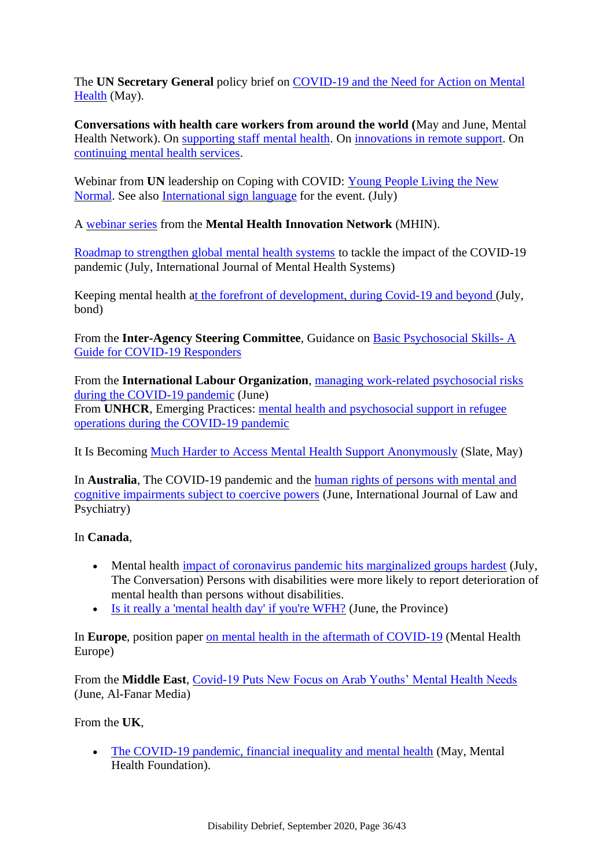The **UN Secretary General** policy brief on [COVID-19 and the Need for Action on Mental](https://unsdg.un.org/resources/policy-brief-covid-19-and-need-action-mental-health)  [Health](https://unsdg.un.org/resources/policy-brief-covid-19-and-need-action-mental-health) (May).

**Conversations with health care workers from around the world (**May and June, Mental Health Network). On [supporting staff mental health.](https://www.mhinnovation.net/blog/2020/may/29/voices-field-conversations-health-care-workers-supporting-staff-mental-health) On [innovations in remote support.](https://www.mhinnovation.net/blog/2020/may/29/voices-field-conversations-health-care-workers-innovations-remote-support-during) On [continuing mental health services.](https://www.mhinnovation.net/blog/2020/jun/1/voices-field-conversations-health-care-workers-continuing-mental-health-services)

Webinar from **UN** leadership on Coping with COVID: [Young People Living the New](https://www.youtube.com/watch?v=ZexS1LJb14g&feature=youtu.be)  [Normal.](https://www.youtube.com/watch?v=ZexS1LJb14g&feature=youtu.be) See also [International sign language](https://www.youtube.com/watch?v=qxBTx7SYze0&feature=youtu.be) for the event. (July)

A [webinar series](https://www.mhinnovation.net/webinar-series) from the **Mental Health Innovation Network** (MHIN).

[Roadmap to strengthen global mental health systems](https://ijmhs.biomedcentral.com/articles/10.1186/s13033-020-00393-4) to tackle the impact of the COVID-19 pandemic (July, International Journal of Mental Health Systems)

Keeping mental health [at the forefront of development, during Covid-19 and beyond \(](https://www.bond.org.uk/news/2020/07/keeping-mental-health-at-the-forefront-of-development-during-covid-19-and-beyond)July, bond)

From the **Inter-Agency Steering Committee**, Guidance on [Basic Psychosocial Skills-](https://interagencystandingcommittee.org/iasc-reference-group-mental-health-and-psychosocial-support-emergency-settings/iasc-guidance-basic) A [Guide for COVID-19 Responders](https://interagencystandingcommittee.org/iasc-reference-group-mental-health-and-psychosocial-support-emergency-settings/iasc-guidance-basic)

From the **International Labour Organization**, [managing work-related psychosocial risks](https://www.ilo.org/global/topics/safety-and-health-at-work/resources-library/publications/WCMS_748638/lang--en/index.htm)  [during the COVID-19 pandemic](https://www.ilo.org/global/topics/safety-and-health-at-work/resources-library/publications/WCMS_748638/lang--en/index.htm) (June)

From **UNHCR**, Emerging Practices: [mental health and psychosocial support in refugee](https://www.unhcr.org/5ee2409b4/mental-health-and-psychosocial-support)  [operations during the COVID-19 pandemic](https://www.unhcr.org/5ee2409b4/mental-health-and-psychosocial-support)

It Is Becoming [Much Harder to Access Mental Health Support Anonymously](https://slate.com/technology/2020/05/covid19-mental-health-apps-websites-privacy-anonymity.html) (Slate, May)

In **Australia**, The COVID-19 pandemic and the [human rights of persons with mental and](https://www.sciencedirect.com/science/article/pii/S0160252720300649)  [cognitive impairments subject to coercive powers](https://www.sciencedirect.com/science/article/pii/S0160252720300649) (June, International Journal of Law and Psychiatry)

#### In **Canada**,

- Mental health [impact of coronavirus pandemic hits marginalized groups hardest](https://theconversation.com/mental-health-impact-of-coronavirus-pandemic-hits-marginalized-groups-hardest-142127) (July, The Conversation) Persons with disabilities were more likely to report deterioration of mental health than persons without disabilities.
- [Is it really a 'mental health day' if you're WFH?](https://theprovince.com/mental-health/working-from-home-does-not-equal-mental-health/) (June, the Province)

In **Europe**, position paper [on mental health in the aftermath of COVID-19](https://www.mhe-sme.org/position-paper-mental-health-in-the-aftermath-of-covid-19/) (Mental Health Europe)

From the **Middle East**, [Covid-19 Puts New Focus on Arab Youths' Mental Health Needs](https://www.al-fanarmedia.org/2020/06/covid-19-puts-new-focus-on-arab-youths-mental-health-needs/) (June, Al-Fanar Media)

From the **UK**,

• [The COVID-19 pandemic, financial inequality and mental health](https://www.mentalhealth.org.uk/our-work/research/coronavirus-mental-health-pandemic/covid-19-inequality-briefing) (May, Mental Health Foundation).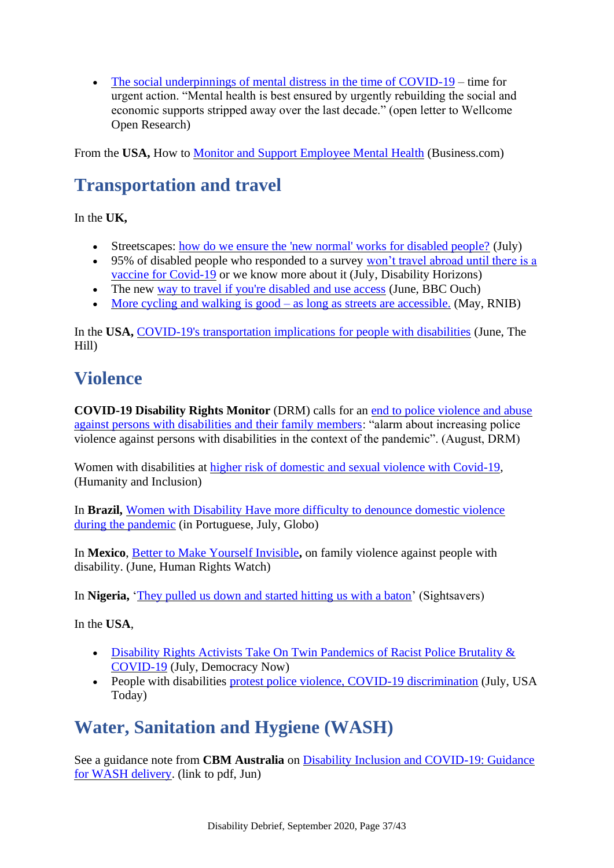• [The social underpinnings of mental distress in the time of COVID-19](https://wellcomeopenresearch.org/articles/5-166) – time for urgent action. "Mental health is best ensured by urgently rebuilding the social and economic supports stripped away over the last decade." (open letter to Wellcome Open Research)

<span id="page-36-0"></span>From the **USA,** How to [Monitor and Support Employee Mental Health](https://www.business.com/articles/support-employee-mental-health/) (Business.com)

# **Transportation and travel**

In the **UK,** 

- Streetscapes: [how do we ensure the 'new normal' works for disabled people?](https://issuu.com/transportforalllondon/docs/streetscapes_-_tfa_traveltalk_report_june_2020) (July)
- 95% of disabled people who responded to a survey won't travel abroad until there is a [vaccine for Covid-19](https://disabilityhorizons.com/2020/07/95-of-disabled-people-wont-travel-abroad-until-there-is-a-vaccine-for-covid-19-or-we-know-more-about-it/) or we know more about it (July, Disability Horizons)
- The new [way to travel if you're disabled and use access](https://www.bbc.co.uk/news/disability-52927781) (June, BBC Ouch)
- [More cycling and walking is good –](https://www.rnib.org.uk/more-cycling-and-walking-good-as-long-as-streets-are-accessible) as long as streets are accessible. (May, RNIB)

In the USA, [COVID-19's transportation implications for people with disabilities](https://thehill.com/blogs/congress-blog/politics/502616-covid-19s-transportation-implications-for-people-with) (June, The Hill)

# <span id="page-36-1"></span>**Violence**

**COVID-19 Disability Rights Monitor** (DRM) calls for an [end to police violence and abuse](https://covid-drm.org/en/statements/covid-19-disability-rights-monitor-drm-calls-for-an-end-to-police-violence-and-abuse-against-persons-with-disabilities-and-their-family-members)  [against persons with disabilities and their family members:](https://covid-drm.org/en/statements/covid-19-disability-rights-monitor-drm-calls-for-an-end-to-police-violence-and-abuse-against-persons-with-disabilities-and-their-family-members) "alarm about increasing police violence against persons with disabilities in the context of the pandemic". (August, DRM)

Women with disabilities at [higher risk of domestic and sexual violence with Covid-19,](https://humanity-inclusion.org.uk/en/news/blog-women-with-disabilities-at-higher-risk-of-domestic-and-sexual-violence-with-covid-19) (Humanity and Inclusion)

In **Brazil,** [Women with Disability Have more difficulty to denounce domestic violence](https://oglobo.globo.com/celina/mulheres-com-deficiencia-tem-mais-dificuldade-para-denunciar-violencia-domestica-na-pandemia-24522160)  [during the pandemic](https://oglobo.globo.com/celina/mulheres-com-deficiencia-tem-mais-dificuldade-para-denunciar-violencia-domestica-na-pandemia-24522160) (in Portuguese, July, Globo)

In **Mexico**, [Better to Make Yourself Invisible](https://www.hrw.org/report/2020/06/04/better-make-yourself-invisible/family-violence-against-people-disabilities-mexico)**,** on family violence against people with disability. (June, Human Rights Watch)

In **Nigeria**, *['They pulled us down and started hitting us with a baton'](https://campaigning.sightsavers.org/story/kazeem/)* (Sightsavers)

In the **USA**,

- [Disability Rights Activists Take On Twin Pandemics of Racist Police Brutality &](https://www.democracynow.org/2020/7/13/disability_rights_activists_take_on_twin)  [COVID-19](https://www.democracynow.org/2020/7/13/disability_rights_activists_take_on_twin) (July, Democracy Now)
- People with disabilities [protest police violence, COVID-19 discrimination](https://eu.usatoday.com/story/news/2020/07/14/people-disabilities-protest-discrimination-doctors-police/5246340002/) (July, USA Today)

# <span id="page-36-2"></span>**Water, Sanitation and Hygiene (WASH)**

See a guidance note from **CBM Australia** on [Disability Inclusion and COVID-19: Guidance](https://ic9.esolg.ca/11140390_WaterForWomen/en/learning-and-resources/resources/KL/WfW-CBM-Guidance-Note_COVID-19-WASH-Disability-Inclusion_FINAL.pdf)  [for WASH delivery.](https://ic9.esolg.ca/11140390_WaterForWomen/en/learning-and-resources/resources/KL/WfW-CBM-Guidance-Note_COVID-19-WASH-Disability-Inclusion_FINAL.pdf) (link to pdf, Jun)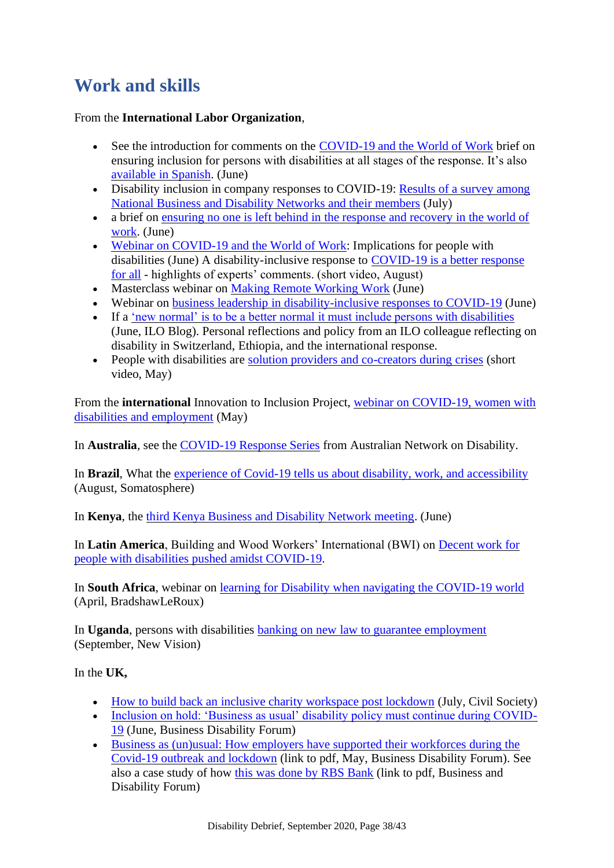# <span id="page-37-0"></span>**Work and skills**

#### From the **International Labor Organization**,

- See the introduction for comments on the [COVID-19 and the World of Work](https://www.ilo.org/global/topics/disability-and-work/WCMS_746909/lang--en/index.htm) brief on ensuring inclusion for persons with disabilities at all stages of the response. It's also [available in Spanish.](https://www.ilo.org/global/topics/disability-and-work/WCMS_747591/lang--es/index.htm) (June)
- Disability inclusion in company responses to COVID-19: Results of a survey among [National Business and Disability Networks and their members](http://www.businessanddisability.org/news/disability-inclusion-in-company-responses-to-covid-19-results-of-a-survey-among-national-business-and-disability-networks-and-their-members/) (July)
- a brief on ensuring no one is left behind in the response and recovery in the world of [work.](https://www.ilo.org/global/topics/coronavirus/WCMS_747327/lang--en/index.htm) (June)
- [Webinar on COVID-19 and the World of Work:](https://www.ilo.org/global/topics/disability-and-work/WCMS_747872/lang--en/index.htm) Implications for people with disabilities (June) A disability-inclusive response to [COVID-19 is a better response](https://www.youtube.com/watch?v=i4mn0ooxi2o)  [for all](https://www.youtube.com/watch?v=i4mn0ooxi2o) - highlights of experts' comments. (short video, August)
- Masterclass webinar on [Making Remote Working Work](https://www.ilo.org/global/topics/disability-and-work/WCMS_749224/lang--en/index.htm) (June)
- Webinar on [business leadership in disability-inclusive responses to COVID-19](https://www.ilo.org/global/topics/disability-and-work/WCMS_749123/lang--en/index.htm) (June)
- If a ['new normal' is to be a better normal it must include persons with disabilities](https://iloblog.org/2020/06/04/if-a-new-normal-is-to-be-a-better-normal-it-must-include-persons-with-disabilities/) (June, ILO Blog). Personal reflections and policy from an ILO colleague reflecting on disability in Switzerland, Ethiopia, and the international response.
- People with disabilities are [solution providers and co-creators during crises](https://www.youtube.com/watch?v=0EQeWly1myE) (short video, May)

From the **international** Innovation to Inclusion Project, [webinar on COVID-19, women with](http://edf-feph.org/i2i-webinar-5-covid-19-and-women-disabilities-and-employment)  [disabilities and employment](http://edf-feph.org/i2i-webinar-5-covid-19-and-women-disabilities-and-employment) (May)

In **Australia**, see the [COVID-19 Response Series](https://www.and.org.au/pages/covid19-response-series-.html) from Australian Network on Disability.

In **Brazil**, What the [experience of Covid-19 tells us about disability, work, and accessibility](http://somatosphere.net/2020/covid-disability-work-accessibility.html/) (August, Somatosphere)

In **Kenya**, the [third Kenya Business and Disability Network meeting.](https://www.linkedin.com/posts/jmenze_kenya-business-and-disability-network-meeting-activity-6682245985818681344-_Qoh) (June)

In **Latin America**, Building and Wood Workers' International (BWI) on [Decent work for](https://www.bwint.org/cms/news-72/decent-work-for-people-with-disabilities-pushed-amidst-covid-19-1870)  [people with disabilities pushed amidst COVID-19.](https://www.bwint.org/cms/news-72/decent-work-for-people-with-disabilities-pushed-amidst-covid-19-1870)

In **South Africa**, webinar on [learning for Disability when navigating the COVID-19 world](https://bradshawleroux.co.za/webinar-1-learning-for-disability-when-navigating-the-covid-19-world-free/) (April, BradshawLeRoux)

In **Uganda**, persons with disabilities [banking on new law to guarantee employment](https://www.newvision.co.ug/news/1527827/pwds-banking-law-guarantee-employment) (September, New Vision)

In the **UK,**

- [How to build back an inclusive charity workspace post lockdown](https://www.civilsociety.co.uk/voices/kate-bennell-how-to-build-back-an-inclusive-workspace-post-lockdown.html) (July, Civil Society)
- [Inclusion on hold: 'Business as usual' disability policy must continue during COVID-](https://businessdisabilityforum.org.uk/news-opinion/inclusion-on-hold/)[19](https://businessdisabilityforum.org.uk/news-opinion/inclusion-on-hold/) (June, Business Disability Forum)
- [Business as \(un\)usual: How employers have supported their workforces during the](https://mcusercontent.com/6bb0a995610e4c9d9bf5bb476/files/68430d89-1ffe-4cee-9002-c319f75c7927/Business_as_unusual_how_organisations_have_responded_to_Covid_19_Full_report_May_2020_2_.pdf)  [Covid-19 outbreak and lockdown](https://mcusercontent.com/6bb0a995610e4c9d9bf5bb476/files/68430d89-1ffe-4cee-9002-c319f75c7927/Business_as_unusual_how_organisations_have_responded_to_Covid_19_Full_report_May_2020_2_.pdf) (link to pdf, May, Business Disability Forum). See also a case study of how [this was done by RBS Bank](https://dh1b0dk701o2c.cloudfront.net/prod/uploads/2020/05/RBS-Case-Study-Final-Version-1.pdf) (link to pdf, Business and Disability Forum)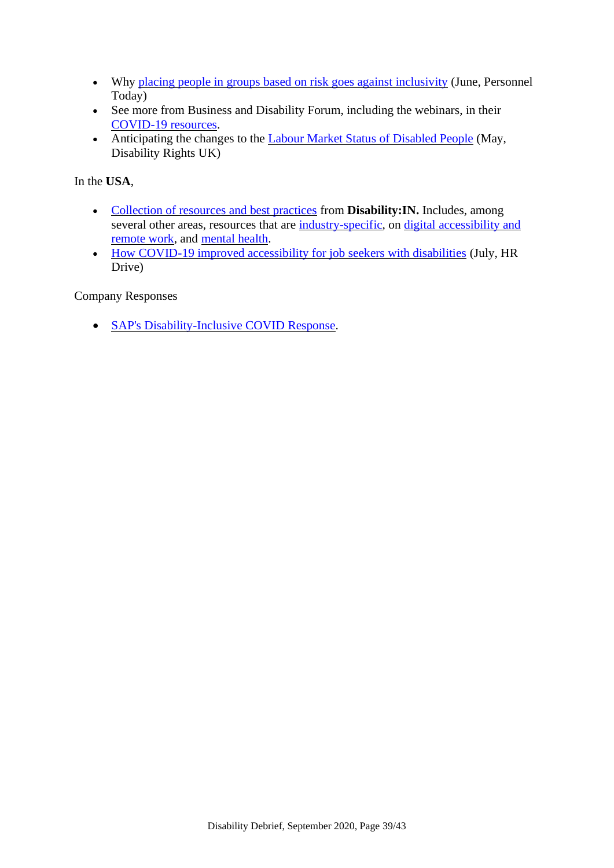- Why [placing people in groups based on risk goes against](https://www.personneltoday.com/hr/why-placing-people-in-groups-based-on-risk-goes-against-inclusivity/) inclusivity (June, Personnel Today)
- See more from Business and Disability Forum, including the webinars, in their [COVID-19 resources.](https://businessdisabilityforum.org.uk/knowledge-hub/resource/category/covid-19/)
- Anticipating the changes to the [Labour Market Status of Disabled People](https://www.disabilityrightsuk.org/news/2020/may/update-labour-market-status-disabled-people) (May, Disability Rights UK)

In the **USA**,

- [Collection of resources and best practices](https://disabilityin.org/best-practices/disabilityin-covid-19/) from **Disability:IN.** Includes, among several other areas, resources that are [industry-specific,](https://disabilityin.org/resource/covid-19-response-industry-specific-resources/) on [digital accessibility and](https://disabilityin.org/resource/covid-19-response-accessible-tools-and-content/)  [remote work,](https://disabilityin.org/resource/covid-19-response-accessible-tools-and-content/) and [mental](https://disabilityin.org/resource/covid-19-response-mental-health/) health.
- [How COVID-19 improved accessibility for job seekers with disabilities](https://www.hrdive.com/news/how-covid-19-improved-accessibility-for-job-seekers-with-disabilities/581820/) (July, HR Drive)

Company Responses

• [SAP's Disability-Inclusive COVID Response.](https://www.viscardicenter.org/saps-disability-inclusive-covid-response/)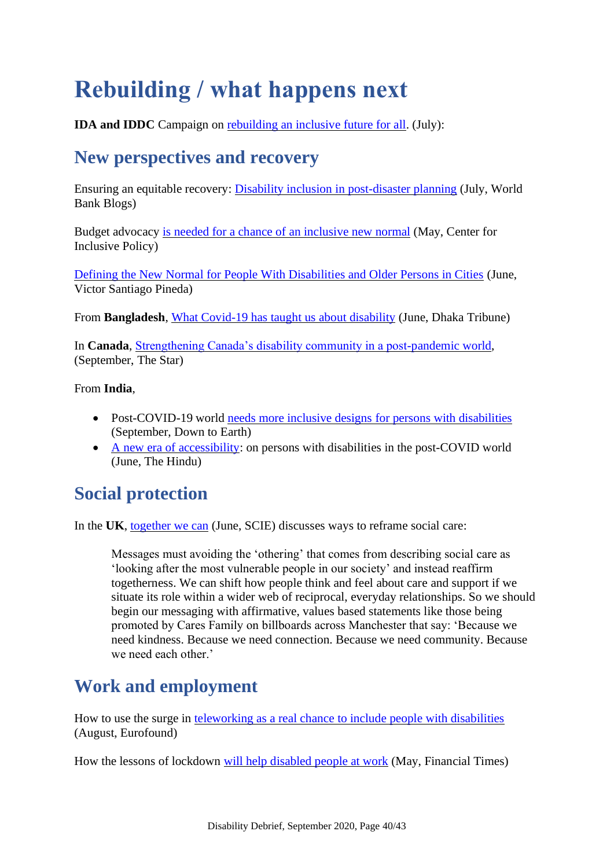# <span id="page-39-0"></span>**Rebuilding / what happens next**

<span id="page-39-1"></span>**IDA and IDDC** Campaign on [rebuilding an inclusive future for all.](https://www.internationaldisabilityalliance.org/content/rebuilding-inclusive-future-all-campaign) (July):

## **New perspectives and recovery**

Ensuring an equitable recovery: [Disability inclusion in post-disaster planning](https://blogs.worldbank.org/sustainablecities/ensuring-equitable-recovery-disability-inclusion-post-disaster-planning) (July, World Bank Blogs)

Budget advocacy [is needed for a chance of an inclusive new normal](https://inclusive-policy.org/2020/05/18/budget-advocacy-is-needed-for-a-chance-of-an-inclusive-new-normal/) (May, Center for Inclusive Policy)

[Defining the New Normal for People With Disabilities and Older Persons in Cities](https://www.linkedin.com/pulse/cities4all-webinar-9-defining-new-normal-people-older-pineda/) (June, Victor Santiago Pineda)

From **Bangladesh**, [What Covid-19 has taught us about disability](https://www.dhakatribune.com/opinion/op-ed/2020/06/30/op-ed-what-covid-19-has-taught-us-about-disability) (June, Dhaka Tribune)

In **Canada**, [Strengthening Canada's disability community in a post-pandemic world,](https://www.thestar.com/opinion/contributors/2020/09/15/strengthening-canadas-disability-community-in-a-post-pandemic-world.html) (September, The Star)

From **India**,

- Post-COVID-19 world [needs more inclusive designs for persons with disabilities](https://www.downtoearth.org.in/blog/health/post-covid-19-world-needs-more-inclusive-designs-for-persons-with-disabilities-73350) (September, Down to Earth)
- [A new era of accessibility:](https://www.thehindu.com/opinion/op-ed/a-new-era-of-accessibility/article31948035.ece) on persons with disabilities in the post-COVID world (June, The Hindu)

## <span id="page-39-2"></span>**Social protection**

In the **UK**, [together we can](https://www.scie.org.uk/care-providers/coronavirus-covid-19/beyond/blogs/together-we-can) (June, SCIE) discusses ways to reframe social care:

Messages must avoiding the 'othering' that comes from describing social care as 'looking after the most vulnerable people in our society' and instead reaffirm togetherness. We can shift how people think and feel about care and support if we situate its role within a wider web of reciprocal, everyday relationships. So we should begin our messaging with affirmative, values based statements like those being promoted by Cares Family on billboards across Manchester that say: 'Because we need kindness. Because we need connection. Because we need community. Because we need each other.'

# <span id="page-39-3"></span>**Work and employment**

How to use the surge in [teleworking as a real chance to include people with disabilities](https://www.eurofound.europa.eu/publications/blog/how-to-use-the-surge-in-teleworking-as-a-real-chance-to-include-people-with-disabilities) (August, Eurofound)

How the lessons of lockdown [will help disabled people at work](https://www.ft.com/content/07b5c778-9086-11ea-bc44-dbf6756c871a) (May, Financial Times)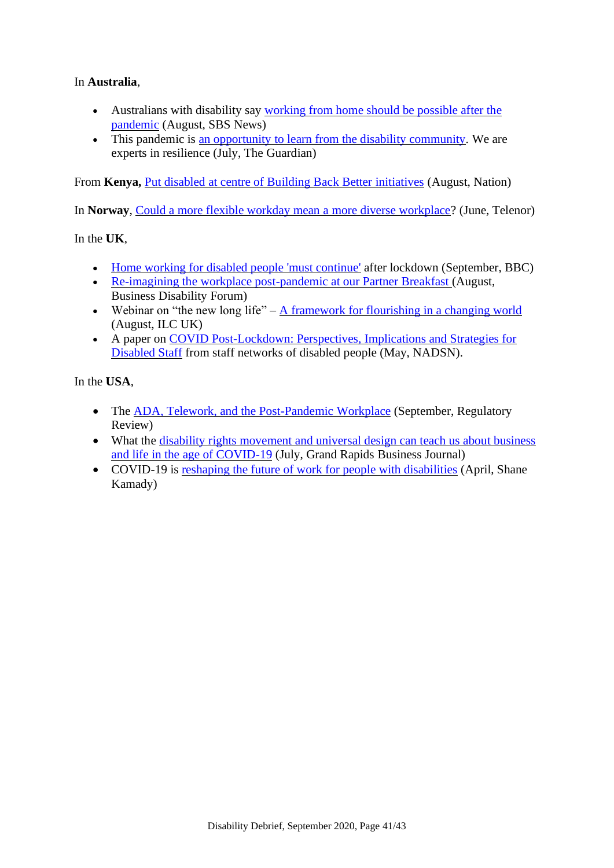In **Australia**,

- Australians with disability say [working from home should be possible after the](https://www.sbs.com.au/news/australians-with-disability-say-working-from-home-should-be-possible-after-the-pandemic)  [pandemic](https://www.sbs.com.au/news/australians-with-disability-say-working-from-home-should-be-possible-after-the-pandemic) (August, SBS News)
- This pandemic is [an opportunity to learn from the disability community.](https://www.theguardian.com/commentisfree/2020/jul/29/this-pandemic-is-an-opportunity-to-learn-from-the-disability-community-we-are-experts-in-resilience) We are experts in resilience (July, The Guardian)

From **Kenya**, **[Put disabled at centre of Building Back Better initiatives](https://nation.africa/kenya/blogs-opinion/opinion/put-disabled-at-centre-of-bbb-initiatives-1914092) (August, Nation)** 

In **Norway**, [Could a more flexible workday mean a more diverse workplace?](https://www.telenor.com/could-a-more-flexible-workday-mean-a-more-diverse-workplace) (June, Telenor)

In the **UK**,

- [Home working for disabled people 'must continue'](https://www.bbc.co.uk/news/uk-wales-54194096) after lockdown (September, BBC)
- [Re-imagining the workplace post-pandemic at our Partner Breakfast \(](https://businessdisabilityforum.org.uk/news-opinion/re-imagining-the-workplace-post-pandemic-at-our-partner-breakfast/)August, Business Disability Forum)
- Webinar on "the new long life"  $-$  [A framework for flourishing in a changing world](https://ilcuk.org.uk/webinar-the-new-long-life/) (August, ILC UK)
- A paper on [COVID Post-Lockdown: Perspectives, Implications and Strategies for](https://nadsn-uk.org/2020/05/21/covid-post-lockdown-perspectives-implications-and-strategies-for-disabled-staff-nadsns-position-paper/)  [Disabled Staff](https://nadsn-uk.org/2020/05/21/covid-post-lockdown-perspectives-implications-and-strategies-for-disabled-staff-nadsns-position-paper/) from staff networks of disabled people (May, NADSN).

In the **USA**,

- The [ADA, Telework, and the Post-Pandemic Workplace](https://www.theregreview.org/2020/09/07/wagstaff-quasius-ada-telework-post-pandemic-workplace/) (September, Regulatory Review)
- What the disability rights movement and universal design can teach us about business [and life in the age of COVID-19](https://grbj.com/blogs/blog-health-care/what-the-disability-rights-movement-and-universal-design-can-teach-us-about-business-and-life-in-the-age-of-covid-19/) (July, Grand Rapids Business Journal)
- COVID-19 is [reshaping the future of work for people with disabilities](https://medium.com/@shanekanadywfd/covid-19-is-reshaping-the-future-of-work-for-people-with-disabilities-50c55817c232) (April, Shane Kamady)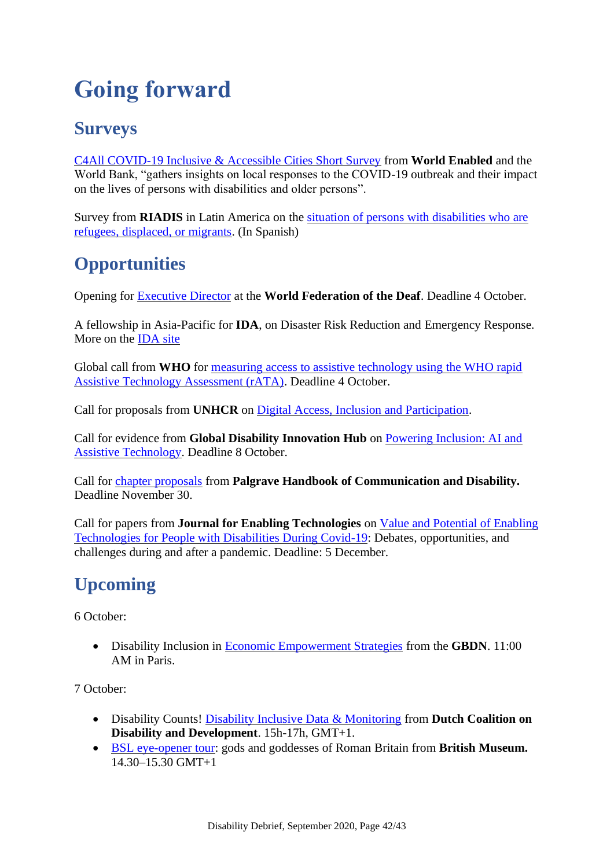# <span id="page-41-0"></span>**Going forward**

# <span id="page-41-1"></span>**Surveys**

[C4All COVID-19 Inclusive & Accessible Cities Short Survey](https://www.surveymonkey.com/r/KSQFYQT) from **World Enabled** and the World Bank, "gathers insights on local responses to the COVID-19 outbreak and their impact on the lives of persons with disabilities and older persons".

Survey from **RIADIS** in Latin America on the [situation of persons with disabilities who are](https://www.facebook.com/RIADISORG/posts/1761490884005349)  [refugees, displaced, or migrants.](https://www.facebook.com/RIADISORG/posts/1761490884005349) (In Spanish)

# <span id="page-41-2"></span>**Opportunities**

Opening for [Executive Director](https://wfdeaf.org/news/call-for-application-wfd-executive-director/) at the **World Federation of the Deaf**. Deadline 4 October.

A fellowship in Asia-Pacific for **IDA**, on Disaster Risk Reduction and Emergency Response. More on the [IDA site](https://www.internationaldisabilityalliance.org/content/opportunities)

Global call from **WHO** for [measuring access to assistive technology using the WHO rapid](https://www.who.int/news-room/articles-detail/global-call-for-measuring-access-to-assistive-technology-using-the-who-rapid-assistive-technology-assessment-(rata))  [Assistive Technology Assessment \(rATA\).](https://www.who.int/news-room/articles-detail/global-call-for-measuring-access-to-assistive-technology-using-the-who-rapid-assistive-technology-assessment-(rata)) Deadline 4 October.

Call for proposals from **UNHCR** on [Digital Access, Inclusion and Participation.](https://www.unhcr.org/innovation/digital-inclusion-call/)

Call for evidence from **Global Disability Innovation Hub** on [Powering Inclusion: AI and](https://www.disabilityinnovation.com/news/ai-and-assistive-technology)  [Assistive Technology.](https://www.disabilityinnovation.com/news/ai-and-assistive-technology) Deadline 8 October.

Call for [chapter proposals](http://www.michaeljeffress.com/blog/cfp-for-the-palgrave-handbook-of-communication-and-disability) from **Palgrave Handbook of Communication and Disability.** Deadline November 30.

Call for papers from **Journal for Enabling Technologies** on [Value and Potential of Enabling](https://www.emeraldgrouppublishing.com/journal/jet/value-and-potential-enabling-technologies-people-disabilities-during-covid-19-debates)  [Technologies for People with Disabilities During Covid-19:](https://www.emeraldgrouppublishing.com/journal/jet/value-and-potential-enabling-technologies-people-disabilities-during-covid-19-debates) Debates, opportunities, and challenges during and after a pandemic. Deadline: 5 December.

# <span id="page-41-3"></span>**Upcoming**

6 October:

• Disability Inclusion in [Economic Empowerment Strategies](https://us02web.zoom.us/webinar/register/WN_rxCaKt4oT_GfTrOMHyT77w) from the **GBDN**. 11:00 AM in Paris.

7 October:

- Disability Counts! [Disability Inclusive Data & Monitoring](https://docs.google.com/forms/d/e/1FAIpQLSfaat72pNJFQ5USg5UuZDdarOvTPBKeSWafnGmIEWo5fzFNJQ/viewform) from **Dutch Coalition on Disability and Development**. 15h-17h, GMT+1.
- [BSL eye-opener tour:](https://www.britishmuseum.org/events/bsl-eye-opener-tour-gods-and-goddesses-roman-britain) gods and goddesses of Roman Britain from **British Museum.**  14.30–15.30 GMT+1